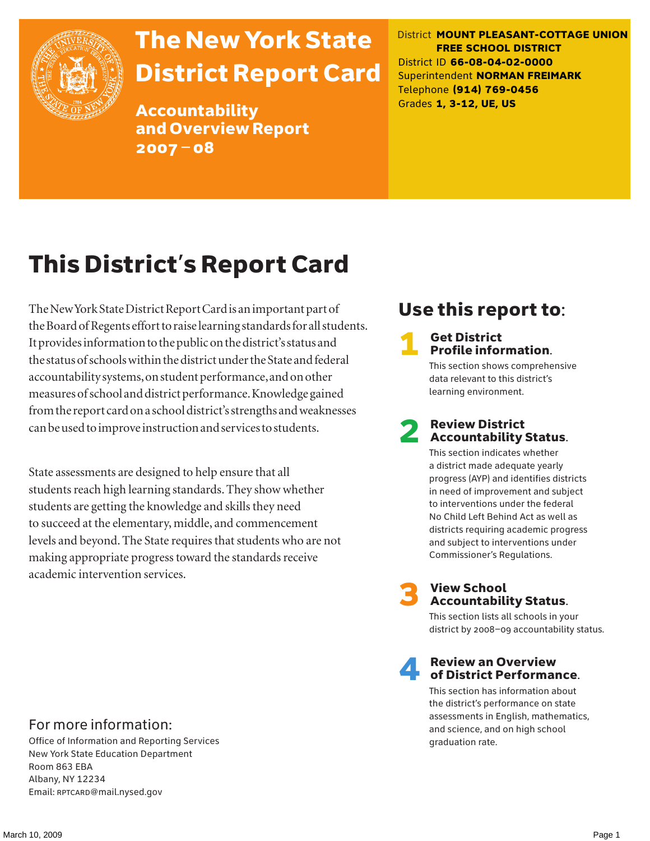

# The New York State District Report Card

Accountability and Overview Report 2007–08

District **MOUNT PLEASANT-COTTAGE UNION FREE SCHOOL DISTRICT** District ID **66-08-04-02-0000** Superintendent **NORMAN FREIMARK** Telephone **(914) 769-0456** Grades **1, 3-12, UE, US**

# This District's Report Card

The New York State District Report Card is an important part of the Board of Regents effort to raise learning standards for all students. It provides information to the public on the district's status and the status of schools within the district under the State and federal accountability systems, on student performance, and on other measures of school and district performance. Knowledge gained from the report card on a school district's strengths and weaknesses can be used to improve instruction and services to students.

State assessments are designed to help ensure that all students reach high learning standards. They show whether students are getting the knowledge and skills they need to succeed at the elementary, middle, and commencement levels and beyond. The State requires that students who are not making appropriate progress toward the standards receive academic intervention services.

# Use this report to:

### **Get District** Profile information.

This section shows comprehensive data relevant to this district's learning environment.

### **Review District** Accountability Status.

This section indicates whether a district made adequate yearly progress (AYP) and identifies districts in need of improvement and subject to interventions under the federal No Child Left Behind Act as well as districts requiring academic progress and subject to interventions under Commissioner's Regulations.



# **3** View School<br>Accountability Status.

This section lists all schools in your district by 2008–09 accountability status.

### **Review an Overview** of District Performance.

This section has information about the district's performance on state assessments in English, mathematics, and science, and on high school graduation rate.

### For more information:

Office of Information and Reporting Services New York State Education Department Room 863 EBA Albany, NY 12234 Email: RPTCARD@mail.nysed.gov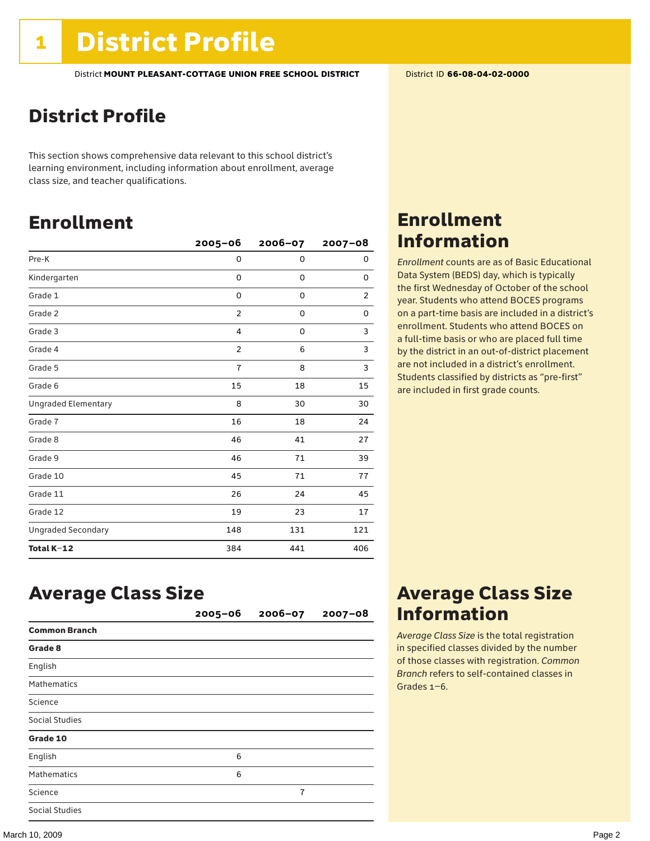# District Profile

This section shows comprehensive data relevant to this school district's learning environment, including information about enrollment, average class size, and teacher qualifications.

# Enrollment

|                            | $2005 - 06$    | 2006-07     | 2007-08 |
|----------------------------|----------------|-------------|---------|
| Pre-K                      | 0              | $\mathbf 0$ | 0       |
| Kindergarten               | 0              | 0           | 0       |
| Grade 1                    | 0              | 0           | 2       |
| Grade 2                    | $\overline{2}$ | 0           | 0       |
| Grade 3                    | $\overline{4}$ | 0           | 3       |
| Grade 4                    | $\overline{2}$ | 6           | 3       |
| Grade 5                    | $\overline{1}$ | 8           | 3       |
| Grade 6                    | 15             | 18          | 15      |
| <b>Ungraded Elementary</b> | 8              | 30          | 30      |
| Grade 7                    | 16             | 18          | 24      |
| Grade 8                    | 46             | 41          | 27      |
| Grade 9                    | 46             | 71          | 39      |
| Grade 10                   | 45             | 71          | 77      |
| Grade 11                   | 26             | 24          | 45      |
| Grade 12                   | 19             | 23          | 17      |
| <b>Ungraded Secondary</b>  | 148            | 131         | 121     |
| Total K-12                 | 384            | 441         | 406     |

### Enrollment Information

*Enrollment* counts are as of Basic Educational Data System (BEDS) day, which is typically the first Wednesday of October of the school year. Students who attend BOCES programs on a part-time basis are included in a district's enrollment. Students who attend BOCES on a full-time basis or who are placed full time by the district in an out-of-district placement are not included in a district's enrollment. Students classified by districts as "pre-first" are included in first grade counts.

# Average Class Size

|                       | $2005 - 06$ | $2006 - 07$    | $2007 - 08$ |
|-----------------------|-------------|----------------|-------------|
| <b>Common Branch</b>  |             |                |             |
| Grade 8               |             |                |             |
| English               |             |                |             |
| <b>Mathematics</b>    |             |                |             |
| Science               |             |                |             |
| <b>Social Studies</b> |             |                |             |
| Grade 10              |             |                |             |
| English               | 6           |                |             |
| <b>Mathematics</b>    | 6           |                |             |
| Science               |             | $\overline{1}$ |             |
| <b>Social Studies</b> |             |                |             |

### Average Class Size Information

*Average Class Size* is the total registration in specified classes divided by the number of those classes with registration. *Common Branch* refers to self-contained classes in Grades 1–6.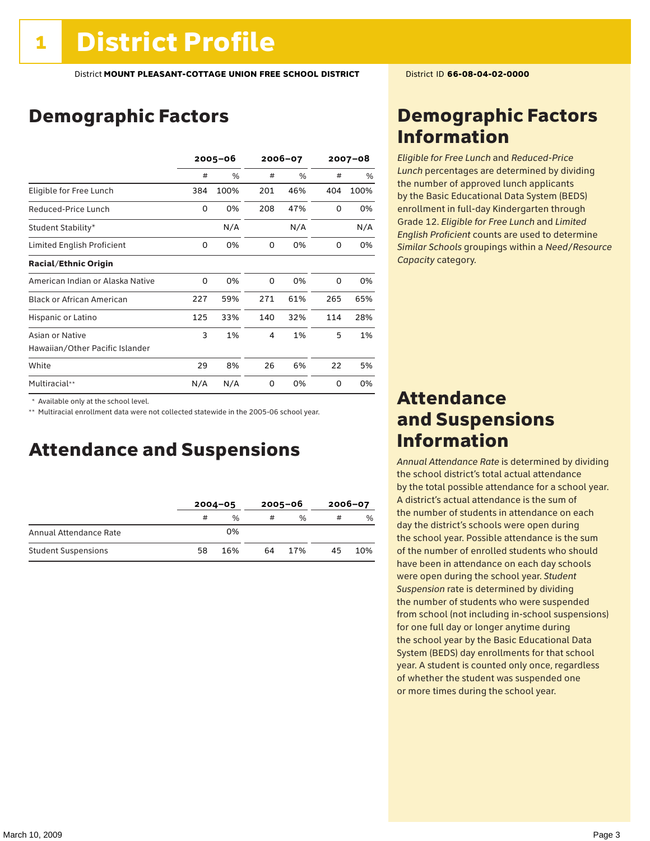# Demographic Factors

|                                  |     | $2005 - 06$ |     | 2006-07 |     | $2007 - 08$ |  |
|----------------------------------|-----|-------------|-----|---------|-----|-------------|--|
|                                  | #   | %           | #   | %       | #   | %           |  |
| Eligible for Free Lunch          | 384 | 100%        | 201 | 46%     | 404 | 100%        |  |
| Reduced-Price Lunch              | 0   | 0%          | 208 | 47%     | 0   | 0%          |  |
| Student Stability*               |     | N/A         |     | N/A     |     | N/A         |  |
| Limited English Proficient       | 0   | 0%          | 0   | 0%      | 0   | 0%          |  |
| <b>Racial/Ethnic Origin</b>      |     |             |     |         |     |             |  |
| American Indian or Alaska Native | 0   | 0%          | 0   | 0%      | 0   | 0%          |  |
| <b>Black or African American</b> | 227 | 59%         | 271 | 61%     | 265 | 65%         |  |
| Hispanic or Latino               | 125 | 33%         | 140 | 32%     | 114 | 28%         |  |
| Asian or Native                  | 3   | 1%          | 4   | 1%      | 5   | 1%          |  |
| Hawaiian/Other Pacific Islander  |     |             |     |         |     |             |  |
| White                            | 29  | 8%          | 26  | 6%      | 22  | 5%          |  |
| Multiracial**                    | N/A | N/A         | 0   | 0%      | 0   | 0%          |  |

\* Available only at the school level.

\*\* Multiracial enrollment data were not collected statewide in the 2005-06 school year.

### Attendance and Suspensions

|                            | $2004 - 05$ |      |    | $2005 - 06$   | $2006 - 07$ |               |
|----------------------------|-------------|------|----|---------------|-------------|---------------|
|                            | #           | $\%$ | #  | $\frac{0}{6}$ | #           | $\frac{0}{6}$ |
| Annual Attendance Rate     |             | 0%   |    |               |             |               |
| <b>Student Suspensions</b> | 58          | 16%  | 64 | 17%           | 45          | 10%           |

### Demographic Factors Information

*Eligible for Free Lunch* and *Reduced*-*Price Lunch* percentages are determined by dividing the number of approved lunch applicants by the Basic Educational Data System (BEDS) enrollment in full-day Kindergarten through Grade 12. *Eligible for Free Lunch* and *Limited English Proficient* counts are used to determine *Similar Schools* groupings within a *Need*/*Resource Capacity* category.

### Attendance and Suspensions Information

*Annual Attendance Rate* is determined by dividing the school district's total actual attendance by the total possible attendance for a school year. A district's actual attendance is the sum of the number of students in attendance on each day the district's schools were open during the school year. Possible attendance is the sum of the number of enrolled students who should have been in attendance on each day schools were open during the school year. *Student Suspension* rate is determined by dividing the number of students who were suspended from school (not including in-school suspensions) for one full day or longer anytime during the school year by the Basic Educational Data System (BEDS) day enrollments for that school year. A student is counted only once, regardless of whether the student was suspended one or more times during the school year.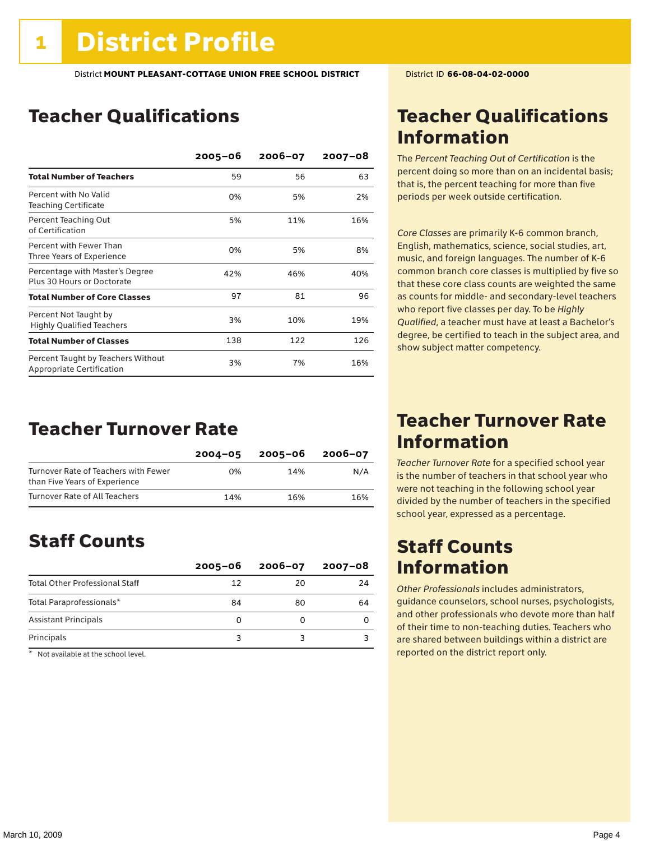### Teacher Qualifications

|                                                                        | $2005 - 06$ | $2006 - 07$ | 2007-08 |
|------------------------------------------------------------------------|-------------|-------------|---------|
| <b>Total Number of Teachers</b>                                        | 59          | 56          | 63      |
| Percent with No Valid<br><b>Teaching Certificate</b>                   | 0%          | 5%          | 2%      |
| Percent Teaching Out<br>of Certification                               | 5%          | 11%         | 16%     |
| Percent with Fewer Than<br>Three Years of Experience                   | 0%          | 5%          | 8%      |
| Percentage with Master's Degree<br>Plus 30 Hours or Doctorate          | 42%         | 46%         | 40%     |
| <b>Total Number of Core Classes</b>                                    | 97          | 81          | 96      |
| Percent Not Taught by<br><b>Highly Qualified Teachers</b>              | 3%          | 10%         | 19%     |
| <b>Total Number of Classes</b>                                         | 138         | 122         | 126     |
| Percent Taught by Teachers Without<br><b>Appropriate Certification</b> | 3%          | 7%          | 16%     |

### Teacher Turnover Rate

|                                                                       | $2004 - 05$ | 2005-06 | 2006-07 |
|-----------------------------------------------------------------------|-------------|---------|---------|
| Turnover Rate of Teachers with Fewer<br>than Five Years of Experience | በ%          | 14%     | N/A     |
| Turnover Rate of All Teachers                                         | 14%         | 16%     | 16%     |

### Staff Counts

|                                       | $2005 - 06$ | $2006 - 07$ | 2007-08 |
|---------------------------------------|-------------|-------------|---------|
| <b>Total Other Professional Staff</b> | 12          | 20          | 24      |
| Total Paraprofessionals*              | 84          | 80          | 64      |
| <b>Assistant Principals</b>           |             |             |         |
| Principals                            |             |             |         |

\* Not available at the school level.

### Teacher Qualifications Information

The *Percent Teaching Out of Certification* is the percent doing so more than on an incidental basis; that is, the percent teaching for more than five periods per week outside certification.

*Core Classes* are primarily K-6 common branch, English, mathematics, science, social studies, art, music, and foreign languages. The number of K-6 common branch core classes is multiplied by five so that these core class counts are weighted the same as counts for middle- and secondary-level teachers who report five classes per day. To be *Highly Qualified*, a teacher must have at least a Bachelor's degree, be certified to teach in the subject area, and show subject matter competency.

### Teacher Turnover Rate Information

*Teacher Turnover Rate* for a specified school year is the number of teachers in that school year who were not teaching in the following school year divided by the number of teachers in the specified school year, expressed as a percentage.

### Staff Counts Information

*Other Professionals* includes administrators, guidance counselors, school nurses, psychologists, and other professionals who devote more than half of their time to non-teaching duties. Teachers who are shared between buildings within a district are reported on the district report only.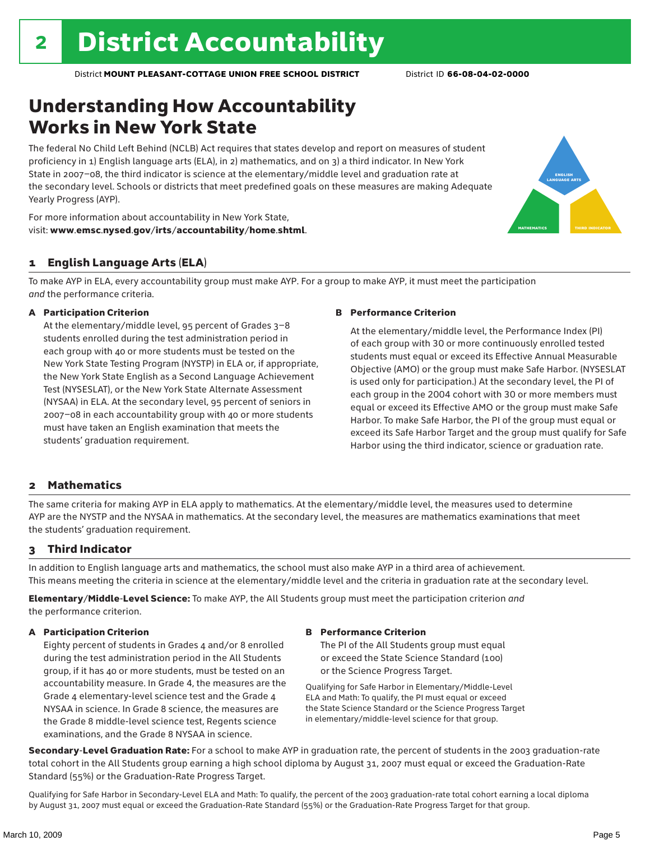# Understanding How Accountability Works in New York State

The federal No Child Left Behind (NCLB) Act requires that states develop and report on measures of student proficiency in 1) English language arts (ELA), in 2) mathematics, and on 3) a third indicator. In New York State in 2007–08, the third indicator is science at the elementary/middle level and graduation rate at the secondary level. Schools or districts that meet predefined goals on these measures are making Adequate Yearly Progress (AYP).



For more information about accountability in New York State, visit: www.emsc.nysed.gov/irts/accountability/home.shtml.

### 1 English Language Arts (ELA)

To make AYP in ELA, every accountability group must make AYP. For a group to make AYP, it must meet the participation *and* the performance criteria.

#### A Participation Criterion

At the elementary/middle level, 95 percent of Grades 3–8 students enrolled during the test administration period in each group with 40 or more students must be tested on the New York State Testing Program (NYSTP) in ELA or, if appropriate, the New York State English as a Second Language Achievement Test (NYSESLAT), or the New York State Alternate Assessment (NYSAA) in ELA. At the secondary level, 95 percent of seniors in 2007–08 in each accountability group with 40 or more students must have taken an English examination that meets the students' graduation requirement.

#### B Performance Criterion

At the elementary/middle level, the Performance Index (PI) of each group with 30 or more continuously enrolled tested students must equal or exceed its Effective Annual Measurable Objective (AMO) or the group must make Safe Harbor. (NYSESLAT is used only for participation.) At the secondary level, the PI of each group in the 2004 cohort with 30 or more members must equal or exceed its Effective AMO or the group must make Safe Harbor. To make Safe Harbor, the PI of the group must equal or exceed its Safe Harbor Target and the group must qualify for Safe Harbor using the third indicator, science or graduation rate.

#### 2 Mathematics

The same criteria for making AYP in ELA apply to mathematics. At the elementary/middle level, the measures used to determine AYP are the NYSTP and the NYSAA in mathematics. At the secondary level, the measures are mathematics examinations that meet the students' graduation requirement.

### 3 Third Indicator

In addition to English language arts and mathematics, the school must also make AYP in a third area of achievement. This means meeting the criteria in science at the elementary/middle level and the criteria in graduation rate at the secondary level.

Elementary/Middle-Level Science: To make AYP, the All Students group must meet the participation criterion *and* the performance criterion.

### A Participation Criterion

Eighty percent of students in Grades 4 and/or 8 enrolled during the test administration period in the All Students group, if it has 40 or more students, must be tested on an accountability measure. In Grade 4, the measures are the Grade 4 elementary-level science test and the Grade 4 NYSAA in science. In Grade 8 science, the measures are the Grade 8 middle-level science test, Regents science examinations, and the Grade 8 NYSAA in science.

#### B Performance Criterion

The PI of the All Students group must equal or exceed the State Science Standard (100) or the Science Progress Target.

Qualifying for Safe Harbor in Elementary/Middle-Level ELA and Math: To qualify, the PI must equal or exceed the State Science Standard or the Science Progress Target in elementary/middle-level science for that group.

Secondary-Level Graduation Rate: For a school to make AYP in graduation rate, the percent of students in the 2003 graduation-rate total cohort in the All Students group earning a high school diploma by August 31, 2007 must equal or exceed the Graduation-Rate Standard (55%) or the Graduation-Rate Progress Target.

Qualifying for Safe Harbor in Secondary-Level ELA and Math: To qualify, the percent of the 2003 graduation-rate total cohort earning a local diploma by August 31, 2007 must equal or exceed the Graduation-Rate Standard (55%) or the Graduation-Rate Progress Target for that group.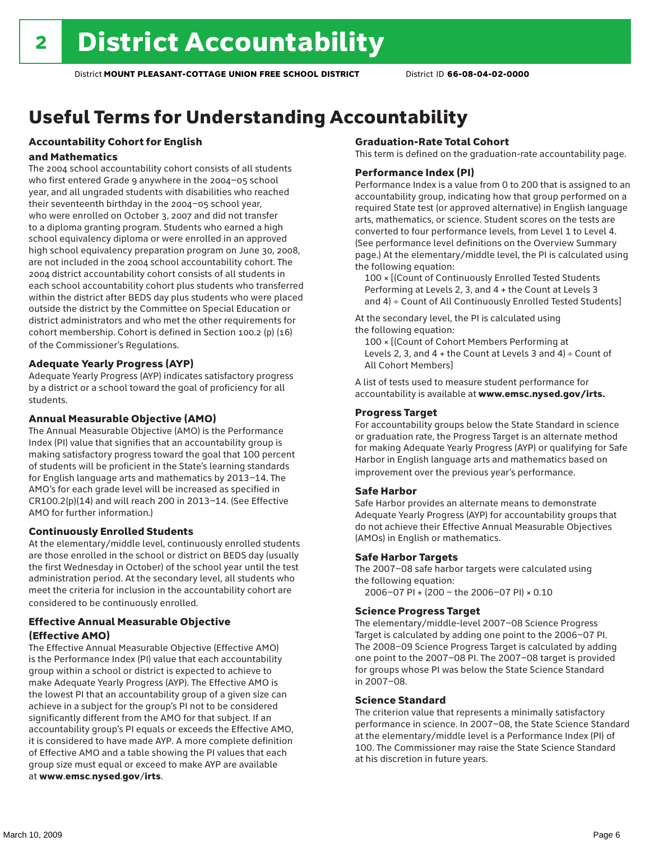# Useful Terms for Understanding Accountability

### Accountability Cohort for English

#### and Mathematics

The 2004 school accountability cohort consists of all students who first entered Grade 9 anywhere in the 2004–05 school year, and all ungraded students with disabilities who reached their seventeenth birthday in the 2004–05 school year, who were enrolled on October 3, 2007 and did not transfer to a diploma granting program. Students who earned a high school equivalency diploma or were enrolled in an approved high school equivalency preparation program on June 30, 2008, are not included in the 2004 school accountability cohort. The 2004 district accountability cohort consists of all students in each school accountability cohort plus students who transferred within the district after BEDS day plus students who were placed outside the district by the Committee on Special Education or district administrators and who met the other requirements for cohort membership. Cohort is defined in Section 100.2 (p) (16) of the Commissioner's Regulations.

#### Adequate Yearly Progress (AYP)

Adequate Yearly Progress (AYP) indicates satisfactory progress by a district or a school toward the goal of proficiency for all students.

#### Annual Measurable Objective (AMO)

The Annual Measurable Objective (AMO) is the Performance Index (PI) value that signifies that an accountability group is making satisfactory progress toward the goal that 100 percent of students will be proficient in the State's learning standards for English language arts and mathematics by 2013–14. The AMO's for each grade level will be increased as specified in CR100.2(p)(14) and will reach 200 in 2013–14. (See Effective AMO for further information.)

#### Continuously Enrolled Students

At the elementary/middle level, continuously enrolled students are those enrolled in the school or district on BEDS day (usually the first Wednesday in October) of the school year until the test administration period. At the secondary level, all students who meet the criteria for inclusion in the accountability cohort are considered to be continuously enrolled.

### Effective Annual Measurable Objective (Effective AMO)

The Effective Annual Measurable Objective (Effective AMO) is the Performance Index (PI) value that each accountability group within a school or district is expected to achieve to make Adequate Yearly Progress (AYP). The Effective AMO is the lowest PI that an accountability group of a given size can achieve in a subject for the group's PI not to be considered significantly different from the AMO for that subject. If an accountability group's PI equals or exceeds the Effective AMO, it is considered to have made AYP. A more complete definition of Effective AMO and a table showing the PI values that each group size must equal or exceed to make AYP are available at www.emsc.nysed.gov/irts.

#### Graduation-Rate Total Cohort

This term is defined on the graduation-rate accountability page.

#### Performance Index (PI)

Performance Index is a value from 0 to 200 that is assigned to an accountability group, indicating how that group performed on a required State test (or approved alternative) in English language arts, mathematics, or science. Student scores on the tests are converted to four performance levels, from Level 1 to Level 4. (See performance level definitions on the Overview Summary page.) At the elementary/middle level, the PI is calculated using the following equation:

100 × [(Count of Continuously Enrolled Tested Students Performing at Levels 2, 3, and 4 + the Count at Levels 3 and 4) ÷ Count of All Continuously Enrolled Tested Students]

At the secondary level, the PI is calculated using the following equation:

100 × [(Count of Cohort Members Performing at Levels 2, 3, and  $4 +$  the Count at Levels 3 and  $4) \div$  Count of All Cohort Members]

A list of tests used to measure student performance for accountability is available at www.emsc.nysed.gov/irts.

#### Progress Target

For accountability groups below the State Standard in science or graduation rate, the Progress Target is an alternate method for making Adequate Yearly Progress (AYP) or qualifying for Safe Harbor in English language arts and mathematics based on improvement over the previous year's performance.

#### Safe Harbor

Safe Harbor provides an alternate means to demonstrate Adequate Yearly Progress (AYP) for accountability groups that do not achieve their Effective Annual Measurable Objectives (AMOs) in English or mathematics.

#### Safe Harbor Targets

The 2007–08 safe harbor targets were calculated using the following equation:

2006–07 PI + (200 – the 2006–07 PI) × 0.10

#### Science Progress Target

The elementary/middle-level 2007–08 Science Progress Target is calculated by adding one point to the 2006–07 PI. The 2008–09 Science Progress Target is calculated by adding one point to the 2007–08 PI. The 2007–08 target is provided for groups whose PI was below the State Science Standard in 2007–08.

#### Science Standard

The criterion value that represents a minimally satisfactory performance in science. In 2007–08, the State Science Standard at the elementary/middle level is a Performance Index (PI) of 100. The Commissioner may raise the State Science Standard at his discretion in future years.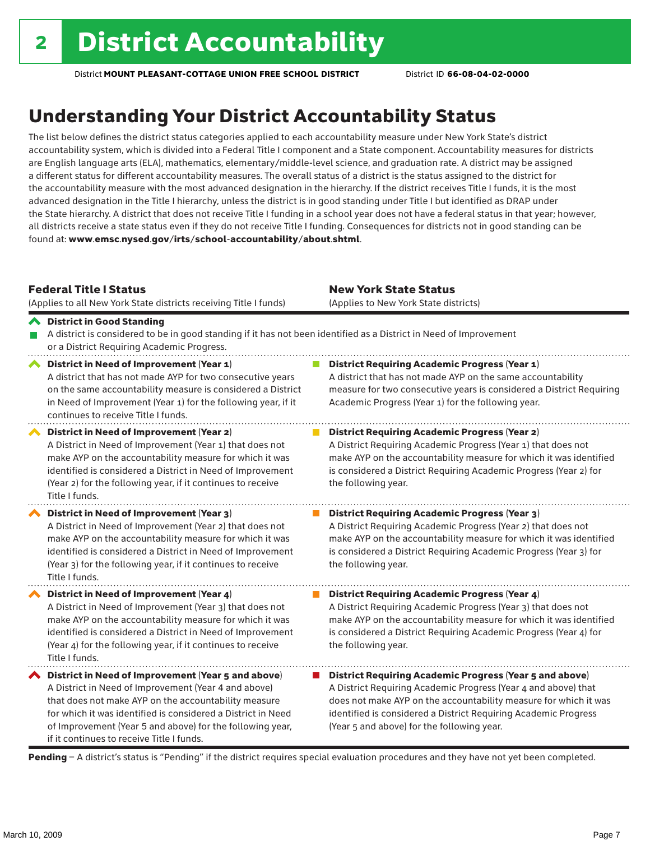# Understanding Your District Accountability Status

The list below defines the district status categories applied to each accountability measure under New York State's district accountability system, which is divided into a Federal Title I component and a State component. Accountability measures for districts are English language arts (ELA), mathematics, elementary/middle-level science, and graduation rate. A district may be assigned a different status for different accountability measures. The overall status of a district is the status assigned to the district for the accountability measure with the most advanced designation in the hierarchy. If the district receives Title I funds, it is the most advanced designation in the Title I hierarchy, unless the district is in good standing under Title I but identified as DRAP under the State hierarchy. A district that does not receive Title I funding in a school year does not have a federal status in that year; however, all districts receive a state status even if they do not receive Title I funding. Consequences for districts not in good standing can be found at: www.emsc.nysed.gov/irts/school-accountability/about.shtml.

#### Federal Title I Status

(Applies to all New York State districts receiving Title I funds)

New York State Status (Applies to New York State districts)

#### District in Good Standing A district is considered to be in good standing if it has not been identified as a District in Need of Improvement P. or a District Requiring Academic Progress. **◆** District in Need of Improvement (Year 1) **District Requiring Academic Progress (Year 1)** A district that has not made AYP for two consecutive years A district that has not made AYP on the same accountability

|                            | $\alpha$ abdited that has not made $\alpha$ . The two consecutive years<br>on the same accountability measure is considered a District<br>in Need of Improvement (Year 1) for the following year, if it<br>continues to receive Title I funds.                                                                                                 | A discrict that has not made Am on the same accountability<br>measure for two consecutive years is considered a District Requiring<br>Academic Progress (Year 1) for the following year.                                                                                                                              |
|----------------------------|------------------------------------------------------------------------------------------------------------------------------------------------------------------------------------------------------------------------------------------------------------------------------------------------------------------------------------------------|-----------------------------------------------------------------------------------------------------------------------------------------------------------------------------------------------------------------------------------------------------------------------------------------------------------------------|
| $\boldsymbol{\mathcal{L}}$ | District in Need of Improvement (Year 2)<br>A District in Need of Improvement (Year 1) that does not<br>make AYP on the accountability measure for which it was<br>identified is considered a District in Need of Improvement<br>(Year 2) for the following year, if it continues to receive<br>Title I funds.                                 | <b>District Requiring Academic Progress (Year 2)</b><br>A District Requiring Academic Progress (Year 1) that does not<br>make AYP on the accountability measure for which it was identified<br>is considered a District Requiring Academic Progress (Year 2) for<br>the following year.                               |
| ⌒                          | District in Need of Improvement (Year 3)<br>A District in Need of Improvement (Year 2) that does not<br>make AYP on the accountability measure for which it was<br>identified is considered a District in Need of Improvement<br>(Year 3) for the following year, if it continues to receive<br>Title I funds.                                 | <b>District Requiring Academic Progress (Year 3)</b><br>A District Requiring Academic Progress (Year 2) that does not<br>make AYP on the accountability measure for which it was identified<br>is considered a District Requiring Academic Progress (Year 3) for<br>the following year.                               |
| $\boldsymbol{\mathcal{L}}$ | District in Need of Improvement (Year 4)<br>A District in Need of Improvement (Year 3) that does not<br>make AYP on the accountability measure for which it was<br>identified is considered a District in Need of Improvement<br>(Year 4) for the following year, if it continues to receive<br>Title I funds.                                 | <b>District Requiring Academic Progress (Year 4)</b><br>A District Requiring Academic Progress (Year 3) that does not<br>make AYP on the accountability measure for which it was identified<br>is considered a District Requiring Academic Progress (Year 4) for<br>the following year.                               |
|                            | ◆ District in Need of Improvement (Year 5 and above)<br>A District in Need of Improvement (Year 4 and above)<br>that does not make AYP on the accountability measure<br>for which it was identified is considered a District in Need<br>of Improvement (Year 5 and above) for the following year,<br>if it continues to receive Title I funds. | <b>District Requiring Academic Progress (Year 5 and above)</b><br>A District Requiring Academic Progress (Year 4 and above) that<br>does not make AYP on the accountability measure for which it was<br>identified is considered a District Requiring Academic Progress<br>(Year 5 and above) for the following year. |

Pending - A district's status is "Pending" if the district requires special evaluation procedures and they have not yet been completed.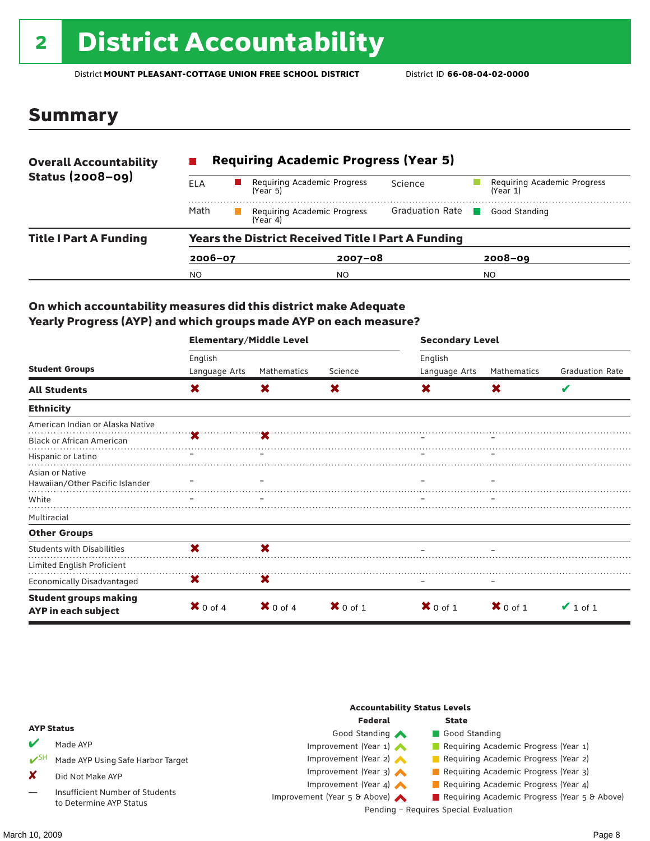# <sup>2</sup> District Accountability

District **MOUNT PLEASANT-COTTAGE UNION FREE SCHOOL DISTRICT** District ID **66-08-04-02-0000**

### Summary

| <b>Overall Accountability</b> | <b>Requiring Academic Progress (Year 5)</b>               |          |                             |                        |  |                                         |  |
|-------------------------------|-----------------------------------------------------------|----------|-----------------------------|------------------------|--|-----------------------------------------|--|
| <b>Status (2008-09)</b>       | ELA                                                       | (Year 5) | Requiring Academic Progress | Science                |  | Requiring Academic Progress<br>(Year 1) |  |
|                               | Math                                                      | (Year 4) | Requiring Academic Progress | <b>Graduation Rate</b> |  | Good Standing                           |  |
| <b>Title I Part A Funding</b> | <b>Years the District Received Title I Part A Funding</b> |          |                             |                        |  |                                         |  |
|                               | $2006 - 07$                                               |          |                             | $2007 - 08$            |  | $2008 - 09$                             |  |
|                               | NO.                                                       |          | NO.                         |                        |  | NO.                                     |  |

### On which accountability measures did this district make Adequate Yearly Progress (AYP) and which groups made AYP on each measure?

|                                                     | <b>Elementary/Middle Level</b> |                     |                     | <b>Secondary Level</b> |                     |                        |  |
|-----------------------------------------------------|--------------------------------|---------------------|---------------------|------------------------|---------------------|------------------------|--|
|                                                     | English                        |                     |                     | English                |                     |                        |  |
| <b>Student Groups</b>                               | Language Arts                  | Mathematics         | Science             | Language Arts          | Mathematics         | <b>Graduation Rate</b> |  |
| <b>All Students</b>                                 | X                              | X                   | X                   | X                      | X                   | V                      |  |
| <b>Ethnicity</b>                                    |                                |                     |                     |                        |                     |                        |  |
| American Indian or Alaska Native                    |                                |                     |                     |                        |                     |                        |  |
| <b>Black or African American</b>                    |                                |                     |                     |                        |                     |                        |  |
| Hispanic or Latino                                  |                                |                     |                     |                        |                     |                        |  |
| Asian or Native<br>Hawaiian/Other Pacific Islander  |                                |                     |                     |                        |                     |                        |  |
| White                                               |                                |                     |                     |                        |                     |                        |  |
|                                                     |                                |                     |                     |                        |                     |                        |  |
| Multiracial                                         |                                |                     |                     |                        |                     |                        |  |
| <b>Other Groups</b>                                 |                                |                     |                     |                        |                     |                        |  |
| <b>Students with Disabilities</b>                   | X                              | X                   |                     |                        |                     |                        |  |
| Limited English Proficient                          |                                |                     |                     |                        |                     |                        |  |
| <b>Economically Disadvantaged</b>                   | X                              | X                   |                     |                        |                     |                        |  |
| <b>Student groups making</b><br>AYP in each subject | $\mathbf{X}$ 0 of 4            | $\mathbf{X}$ 0 of 4 | $\mathbf{X}$ 0 of 1 | $X$ 0 of 1             | $\mathbf{X}$ 0 of 1 | $\vee$ 1 of 1          |  |

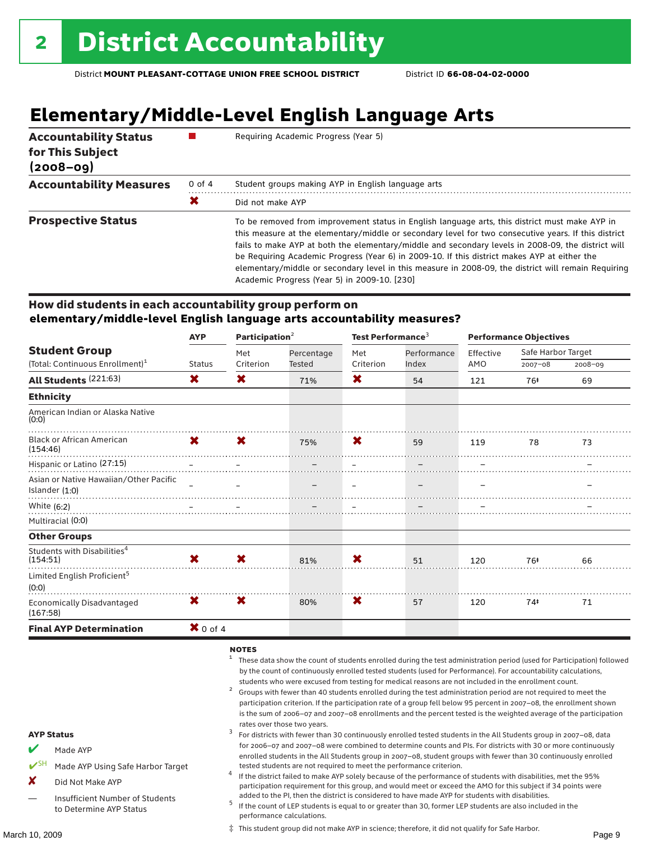# **Elementary/Middle-Level English Language Arts**

| <b>Accountability Status</b><br>for This Subject<br>$(2008 - 09)$ |        | Requiring Academic Progress (Year 5)                                                                                                                                                                                                                                                                                                                                                                                                                                                                                                                                |
|-------------------------------------------------------------------|--------|---------------------------------------------------------------------------------------------------------------------------------------------------------------------------------------------------------------------------------------------------------------------------------------------------------------------------------------------------------------------------------------------------------------------------------------------------------------------------------------------------------------------------------------------------------------------|
| <b>Accountability Measures</b>                                    | 0 of 4 | Student groups making AYP in English language arts                                                                                                                                                                                                                                                                                                                                                                                                                                                                                                                  |
|                                                                   | Х      | Did not make AYP                                                                                                                                                                                                                                                                                                                                                                                                                                                                                                                                                    |
| <b>Prospective Status</b>                                         |        | To be removed from improvement status in English language arts, this district must make AYP in<br>this measure at the elementary/middle or secondary level for two consecutive years. If this district<br>fails to make AYP at both the elementary/middle and secondary levels in 2008-09, the district will<br>be Requiring Academic Progress (Year 6) in 2009-10. If this district makes AYP at either the<br>elementary/middle or secondary level in this measure in 2008-09, the district will remain Requiring<br>Academic Progress (Year 5) in 2009-10. [230] |

#### How did students in each accountability group perform on **elementary/middle-level English language arts accountability measures?**

|                                                     | <b>AYP</b>          |             | Participation <sup>2</sup> |                          | Test Performance <sup>3</sup> |           | <b>Performance Objectives</b> |             |  |
|-----------------------------------------------------|---------------------|-------------|----------------------------|--------------------------|-------------------------------|-----------|-------------------------------|-------------|--|
| <b>Student Group</b>                                |                     | Met         | Percentage                 | Met                      | Performance                   | Effective | Safe Harbor Target            |             |  |
| (Total: Continuous Enrollment) <sup>1</sup>         | <b>Status</b>       | Criterion   | Tested                     | Criterion                | Index                         | AMO       | $2007 - 08$                   | $2008 - 09$ |  |
| All Students (221:63)                               | X                   | X           | 71%                        | X                        | 54                            | 121       | 76#                           | 69          |  |
| <b>Ethnicity</b>                                    |                     |             |                            |                          |                               |           |                               |             |  |
| American Indian or Alaska Native<br>(0:0)           |                     |             |                            |                          |                               |           |                               |             |  |
| <b>Black or African American</b><br>(154:46)        | <b>X</b>            | $\mathbf x$ | 75%                        | X                        | 59                            | 119       | 78                            | 73          |  |
| Hispanic or Latino (27:15)                          |                     |             |                            | $\overline{\phantom{m}}$ |                               | $\equiv$  |                               |             |  |
| Asian or Native Hawaiian/Other Pacific              |                     |             |                            |                          | $\qquad \qquad -$             |           |                               |             |  |
| Islander $(1:0)$                                    |                     |             |                            |                          |                               |           |                               |             |  |
| White $(6:2)$                                       |                     |             |                            |                          |                               |           |                               |             |  |
| Multiracial (0:0)                                   |                     |             |                            |                          |                               |           |                               |             |  |
| <b>Other Groups</b>                                 |                     |             |                            |                          |                               |           |                               |             |  |
| Students with Disabilities <sup>4</sup><br>(154:51) | <b>X</b>            | X           | 81%                        | X                        | 51                            | 120       | 76‡                           | 66          |  |
| Limited English Proficient <sup>5</sup><br>(0:0)    |                     |             |                            |                          |                               |           |                               |             |  |
| <b>Economically Disadvantaged</b><br>(167:58)       | X.                  | X           | 80%                        | X                        | 57                            | 120       | 74#                           | 71          |  |
| <b>Final AYP Determination</b>                      | $\mathbf{X}$ 0 of 4 |             |                            |                          |                               |           |                               |             |  |

### $NOTES$

- <sup>1</sup> These data show the count of students enrolled during the test administration period (used for Participation) followed by the count of continuously enrolled tested students (used for Performance). For accountability calculations,
- students who were excused from testing for medical reasons are not included in the enrollment count.<br>Groups with fewer than 40 students enrolled during the test administration period are not required to meet the participation criterion. If the participation rate of a group fell below 95 percent in 2007–08, the enrollment shown is the sum of 2006–07 and 2007–08 enrollments and the percent tested is the weighted average of the participation
- rates over those two years.<br><sup>3</sup> For districts with fewer than 30 continuously enrolled tested students in the All Students group in 2007–08, data for 2006–07 and 2007–08 were combined to determine counts and PIs. For districts with 30 or more continuously enrolled students in the All Students group in 2007–08, student groups with fewer than 30 continuously enrolled tested students are not required to meet the performance criterion. <sup>4</sup> If the district failed to make AYP solely because of the performance of students with disabilities, met the 95%
- participation requirement for this group, and would meet or exceed the AMO for this subject if 34 points were
- added to the PI, then the district is considered to have made AYP for students with disabilities.<br><sup>5</sup> If the count of LEP students is equal to or greater than 30, former LEP students are also included in the performance calculations.

‡ This student group did not make AYP in science; therefore, it did not qualify for Safe Harbor.

AYP Status

Made AYP

X Did Not Make AYP

Made AYP Using Safe Harbor Target

Insufficient Number of Students to Determine AYP Status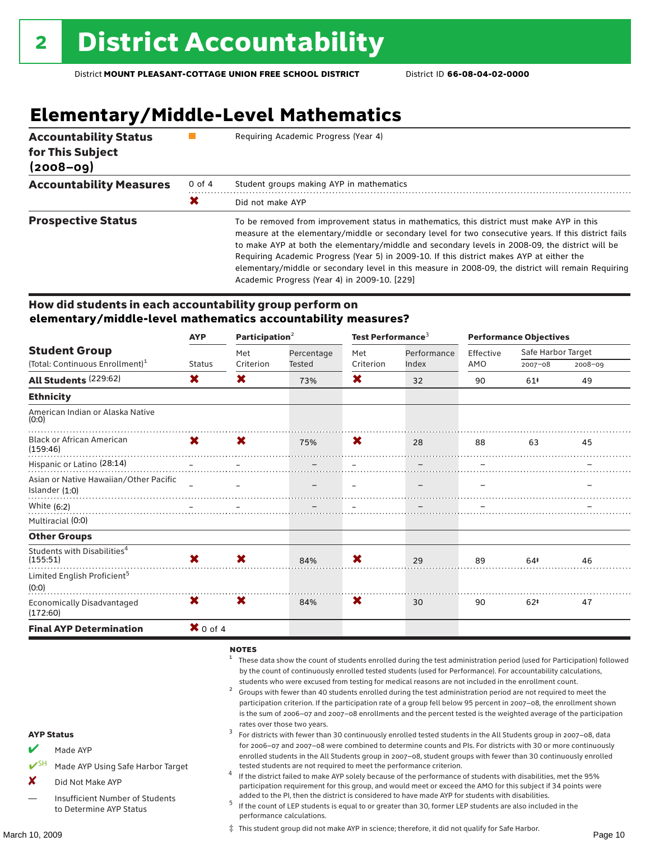# **Elementary/Middle-Level Mathematics**

| <b>Accountability Status</b><br>for This Subject<br>$(2008 - 09)$ |            | Requiring Academic Progress (Year 4)                                                                                                                                                                                                                                                                                                                                                                                                                                                                                                                      |  |  |  |  |
|-------------------------------------------------------------------|------------|-----------------------------------------------------------------------------------------------------------------------------------------------------------------------------------------------------------------------------------------------------------------------------------------------------------------------------------------------------------------------------------------------------------------------------------------------------------------------------------------------------------------------------------------------------------|--|--|--|--|
| <b>Accountability Measures</b>                                    | $0$ of $4$ | Student groups making AYP in mathematics                                                                                                                                                                                                                                                                                                                                                                                                                                                                                                                  |  |  |  |  |
|                                                                   | Х          | Did not make AYP                                                                                                                                                                                                                                                                                                                                                                                                                                                                                                                                          |  |  |  |  |
| <b>Prospective Status</b>                                         |            | To be removed from improvement status in mathematics, this district must make AYP in this<br>measure at the elementary/middle or secondary level for two consecutive years. If this district fails<br>to make AYP at both the elementary/middle and secondary levels in 2008-09, the district will be<br>Requiring Academic Progress (Year 5) in 2009-10. If this district makes AYP at either the<br>elementary/middle or secondary level in this measure in 2008-09, the district will remain Requiring<br>Academic Progress (Year 4) in 2009-10. [229] |  |  |  |  |

#### How did students in each accountability group perform on **elementary/middle-level mathematics accountability measures?**

|                                                                                                                               | <b>AYP</b>    | Participation $2$         |                      | Test Performance <sup>3</sup> |                      | <b>Performance Objectives</b> |                                   |             |
|-------------------------------------------------------------------------------------------------------------------------------|---------------|---------------------------|----------------------|-------------------------------|----------------------|-------------------------------|-----------------------------------|-------------|
| <b>Student Group</b><br>(Total: Continuous Enrollment) <sup>1</sup>                                                           | <b>Status</b> | Met<br>Criterion          | Percentage<br>Tested | Met<br>Criterion              | Performance<br>Index | Effective<br>AMO              | Safe Harbor Target<br>$2007 - 08$ | $2008 - 09$ |
|                                                                                                                               |               |                           |                      |                               |                      |                               |                                   |             |
| All Students (229:62)                                                                                                         | X             | X                         | 73%                  | X                             | 32                   | 90                            | 61#                               | 49          |
| <b>Ethnicity</b>                                                                                                              |               |                           |                      |                               |                      |                               |                                   |             |
| American Indian or Alaska Native<br>(0:0)                                                                                     |               |                           |                      |                               |                      |                               |                                   |             |
| <b>Black or African American</b><br>(159:46)                                                                                  | $\mathbf{x}$  | $\mathbf x$               | 75%                  | X.                            | 28                   | 88                            | 63                                | 45          |
| Hispanic or Latino (28:14)                                                                                                    |               |                           |                      |                               |                      |                               |                                   |             |
| Asian or Native Hawaiian/Other Pacific                                                                                        |               |                           |                      |                               |                      |                               |                                   |             |
| Islander $(1:0)$                                                                                                              |               |                           |                      |                               |                      |                               |                                   |             |
| White (6:2)<br>- 1999년 - 대한민국의 대한민국의 대한민국의 대한민국의 대한민국의 대한민국의 대한민국의 대한민국의 대한민국의 대한민국의 대한민국의 대한민국의 대한민국의 대한민국의 대한민국의 대한민국의 대한민국 |               |                           |                      |                               |                      |                               |                                   |             |
| Multiracial (0:0)                                                                                                             |               |                           |                      |                               |                      |                               |                                   |             |
| <b>Other Groups</b>                                                                                                           |               |                           |                      |                               |                      |                               |                                   |             |
| Students with Disabilities <sup>4</sup><br>(155:51)                                                                           | X             | X                         | 84%                  | X                             | 29                   | 89                            | 64‡                               | 46          |
| Limited English Proficient <sup>5</sup><br>(0:0)                                                                              |               |                           |                      |                               |                      |                               |                                   |             |
| Economically Disadvantaged<br>(172:60)                                                                                        | X.            | $\boldsymbol{\mathsf{x}}$ | 84%                  | X                             | 30                   | 90                            | $62*$                             | 47          |
| <b>Final AYP Determination</b>                                                                                                | $X$ 0 of 4    |                           |                      |                               |                      |                               |                                   |             |

### $NOTES$

- <sup>1</sup> These data show the count of students enrolled during the test administration period (used for Participation) followed by the count of continuously enrolled tested students (used for Performance). For accountability calculations,
- students who were excused from testing for medical reasons are not included in the enrollment count.<br>Groups with fewer than 40 students enrolled during the test administration period are not required to meet the participation criterion. If the participation rate of a group fell below 95 percent in 2007–08, the enrollment shown is the sum of 2006–07 and 2007–08 enrollments and the percent tested is the weighted average of the participation
- rates over those two years.<br><sup>3</sup> For districts with fewer than 30 continuously enrolled tested students in the All Students group in 2007–08, data for 2006–07 and 2007–08 were combined to determine counts and PIs. For districts with 30 or more continuously enrolled students in the All Students group in 2007–08, student groups with fewer than 30 continuously enrolled tested students are not required to meet the performance criterion. <sup>4</sup> If the district failed to make AYP solely because of the performance of students with disabilities, met the 95%
- participation requirement for this group, and would meet or exceed the AMO for this subject if 34 points were
- added to the PI, then the district is considered to have made AYP for students with disabilities.<br> $5$  If the count of LEP students is equal to or greater than 30, former LEP students are also included in the performance calculations.

‡ This student group did not make AYP in science; therefore, it did not qualify for Safe Harbor.

AYP Status

Made AYP

X Did Not Make AYP

Made AYP Using Safe Harbor Target

Insufficient Number of Students to Determine AYP Status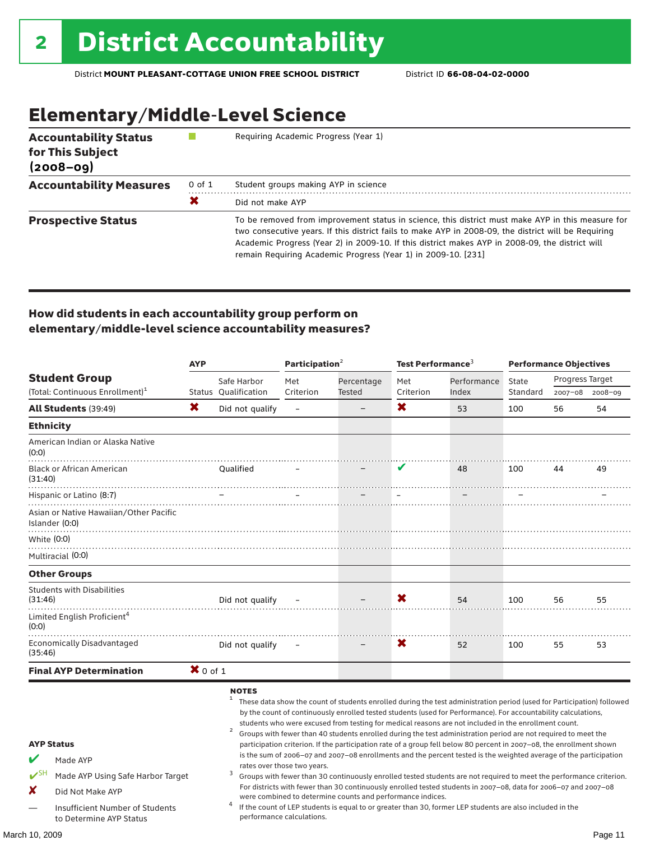# Elementary/Middle-Level Science

| <b>Accountability Status</b><br>for This Subject<br>$(2008 - 09)$ |        | Requiring Academic Progress (Year 1)                                                                                                                                                                                                                                                                                                                                          |  |  |  |
|-------------------------------------------------------------------|--------|-------------------------------------------------------------------------------------------------------------------------------------------------------------------------------------------------------------------------------------------------------------------------------------------------------------------------------------------------------------------------------|--|--|--|
| <b>Accountability Measures</b>                                    | 0 of 1 | Student groups making AYP in science                                                                                                                                                                                                                                                                                                                                          |  |  |  |
|                                                                   | X      | Did not make AYP                                                                                                                                                                                                                                                                                                                                                              |  |  |  |
| <b>Prospective Status</b>                                         |        | To be removed from improvement status in science, this district must make AYP in this measure for<br>two consecutive years. If this district fails to make AYP in 2008-09, the district will be Requiring<br>Academic Progress (Year 2) in 2009-10. If this district makes AYP in 2008-09, the district will<br>remain Requiring Academic Progress (Year 1) in 2009-10. [231] |  |  |  |

### How did students in each accountability group perform on elementary/middle-level science accountability measures?

|                                                                                                                                                   |            |                                                              | Participation <sup>2</sup>  |                                                            | Test Performance <sup>3</sup> |                                                                                                                                                                                                                                                                                                                                                                                                                                                                                                                                                                                                                                                                                                                                                                                                                                                                                                                                                                                                                                                                        | <b>Performance Objectives</b> |                 |         |
|---------------------------------------------------------------------------------------------------------------------------------------------------|------------|--------------------------------------------------------------|-----------------------------|------------------------------------------------------------|-------------------------------|------------------------------------------------------------------------------------------------------------------------------------------------------------------------------------------------------------------------------------------------------------------------------------------------------------------------------------------------------------------------------------------------------------------------------------------------------------------------------------------------------------------------------------------------------------------------------------------------------------------------------------------------------------------------------------------------------------------------------------------------------------------------------------------------------------------------------------------------------------------------------------------------------------------------------------------------------------------------------------------------------------------------------------------------------------------------|-------------------------------|-----------------|---------|
| <b>Student Group</b>                                                                                                                              |            | Safe Harbor                                                  | Met<br>Percentage           |                                                            | Met                           | Performance                                                                                                                                                                                                                                                                                                                                                                                                                                                                                                                                                                                                                                                                                                                                                                                                                                                                                                                                                                                                                                                            | State                         | Progress Target |         |
| (Total: Continuous Enrollment) <sup>1</sup>                                                                                                       |            | Status Oualification                                         | Criterion                   | Tested                                                     | Criterion                     | Index                                                                                                                                                                                                                                                                                                                                                                                                                                                                                                                                                                                                                                                                                                                                                                                                                                                                                                                                                                                                                                                                  | Standard                      | 2007-08 2008-09 |         |
| All Students (39:49)                                                                                                                              | X.         | Did not qualify                                              | $\qquad \qquad -$           |                                                            | X                             | 53                                                                                                                                                                                                                                                                                                                                                                                                                                                                                                                                                                                                                                                                                                                                                                                                                                                                                                                                                                                                                                                                     | 100                           | 56              | 54      |
| <b>Ethnicity</b>                                                                                                                                  |            |                                                              |                             |                                                            |                               |                                                                                                                                                                                                                                                                                                                                                                                                                                                                                                                                                                                                                                                                                                                                                                                                                                                                                                                                                                                                                                                                        |                               |                 |         |
| American Indian or Alaska Native<br>(0:0)                                                                                                         |            |                                                              |                             |                                                            |                               |                                                                                                                                                                                                                                                                                                                                                                                                                                                                                                                                                                                                                                                                                                                                                                                                                                                                                                                                                                                                                                                                        |                               |                 |         |
| <b>Black or African American</b><br>(31:40)                                                                                                       |            | <b>Oualified</b>                                             |                             |                                                            |                               | 48                                                                                                                                                                                                                                                                                                                                                                                                                                                                                                                                                                                                                                                                                                                                                                                                                                                                                                                                                                                                                                                                     | 100                           | 44              | 49      |
| Hispanic or Latino (8:7)                                                                                                                          |            |                                                              |                             |                                                            | i.                            |                                                                                                                                                                                                                                                                                                                                                                                                                                                                                                                                                                                                                                                                                                                                                                                                                                                                                                                                                                                                                                                                        |                               |                 |         |
| Asian or Native Hawaiian/Other Pacific<br>Islander (0:0)                                                                                          |            |                                                              |                             |                                                            |                               |                                                                                                                                                                                                                                                                                                                                                                                                                                                                                                                                                                                                                                                                                                                                                                                                                                                                                                                                                                                                                                                                        |                               |                 |         |
| White (0:0)                                                                                                                                       |            |                                                              |                             |                                                            |                               |                                                                                                                                                                                                                                                                                                                                                                                                                                                                                                                                                                                                                                                                                                                                                                                                                                                                                                                                                                                                                                                                        |                               |                 |         |
| Multiracial (0:0)                                                                                                                                 |            |                                                              |                             |                                                            |                               |                                                                                                                                                                                                                                                                                                                                                                                                                                                                                                                                                                                                                                                                                                                                                                                                                                                                                                                                                                                                                                                                        |                               |                 |         |
| <b>Other Groups</b>                                                                                                                               |            |                                                              |                             |                                                            |                               |                                                                                                                                                                                                                                                                                                                                                                                                                                                                                                                                                                                                                                                                                                                                                                                                                                                                                                                                                                                                                                                                        |                               |                 |         |
| <b>Students with Disabilities</b><br>(31:46)                                                                                                      |            | Did not qualify                                              |                             |                                                            | X                             | 54                                                                                                                                                                                                                                                                                                                                                                                                                                                                                                                                                                                                                                                                                                                                                                                                                                                                                                                                                                                                                                                                     | 100                           | 56              | 55      |
| Limited English Proficient <sup>4</sup><br>(0:0)                                                                                                  |            |                                                              |                             |                                                            |                               |                                                                                                                                                                                                                                                                                                                                                                                                                                                                                                                                                                                                                                                                                                                                                                                                                                                                                                                                                                                                                                                                        |                               |                 |         |
| Economically Disadvantaged<br>(35:46)                                                                                                             |            | Did not qualify                                              |                             |                                                            | X                             | 52                                                                                                                                                                                                                                                                                                                                                                                                                                                                                                                                                                                                                                                                                                                                                                                                                                                                                                                                                                                                                                                                     | 100                           | 55              | 53      |
| <b>Final AYP Determination</b>                                                                                                                    | $X$ 0 of 1 |                                                              |                             |                                                            |                               |                                                                                                                                                                                                                                                                                                                                                                                                                                                                                                                                                                                                                                                                                                                                                                                                                                                                                                                                                                                                                                                                        |                               |                 |         |
| <b>AYP Status</b><br>Made AYP<br>$\mathbf{v}$ SH<br>Made AYP Using Safe Harbor Target<br>x<br>Did Not Make AYP<br>Insufficient Number of Students |            | <b>NOTES</b><br>$\mathbf{1}$<br>$\overline{\mathbf{c}}$<br>3 | rates over those two years. | were combined to determine counts and performance indices. |                               | These data show the count of students enrolled during the test administration period (used for Participation) followed<br>by the count of continuously enrolled tested students (used for Performance). For accountability calculations,<br>students who were excused from testing for medical reasons are not included in the enrollment count.<br>Groups with fewer than 40 students enrolled during the test administration period are not required to meet the<br>participation criterion. If the participation rate of a group fell below 80 percent in 2007-08, the enrollment shown<br>is the sum of 2006-07 and 2007-08 enrollments and the percent tested is the weighted average of the participation<br>Groups with fewer than 30 continuously enrolled tested students are not required to meet the performance criterion.<br>For districts with fewer than 30 continuously enrolled tested students in 2007-08, data for 2006-07 and 2007-08<br>If the count of LEP students is equal to or greater than 30, former LEP students are also included in the |                               |                 |         |
| to Determine AYP Status                                                                                                                           |            |                                                              | performance calculations.   |                                                            |                               |                                                                                                                                                                                                                                                                                                                                                                                                                                                                                                                                                                                                                                                                                                                                                                                                                                                                                                                                                                                                                                                                        |                               |                 |         |
| March 10. 2009                                                                                                                                    |            |                                                              |                             |                                                            |                               |                                                                                                                                                                                                                                                                                                                                                                                                                                                                                                                                                                                                                                                                                                                                                                                                                                                                                                                                                                                                                                                                        |                               |                 | Page 11 |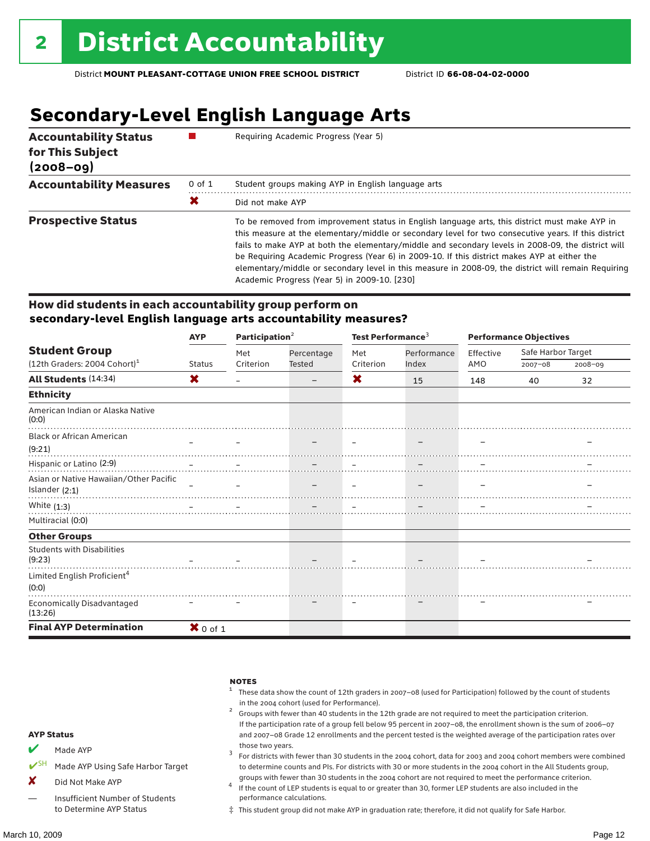# **Secondary-Level English Language Arts**

| <b>Accountability Status</b><br>for This Subject<br>$(2008 - 09)$ |            | Requiring Academic Progress (Year 5)                                                                                                                                                                                                                                                                                                                                                                                                                                                                                                                                |  |  |  |  |
|-------------------------------------------------------------------|------------|---------------------------------------------------------------------------------------------------------------------------------------------------------------------------------------------------------------------------------------------------------------------------------------------------------------------------------------------------------------------------------------------------------------------------------------------------------------------------------------------------------------------------------------------------------------------|--|--|--|--|
| <b>Accountability Measures</b>                                    | $0$ of $1$ | Student groups making AYP in English language arts                                                                                                                                                                                                                                                                                                                                                                                                                                                                                                                  |  |  |  |  |
|                                                                   | Х          | Did not make AYP                                                                                                                                                                                                                                                                                                                                                                                                                                                                                                                                                    |  |  |  |  |
| <b>Prospective Status</b>                                         |            | To be removed from improvement status in English language arts, this district must make AYP in<br>this measure at the elementary/middle or secondary level for two consecutive years. If this district<br>fails to make AYP at both the elementary/middle and secondary levels in 2008-09, the district will<br>be Requiring Academic Progress (Year 6) in 2009-10. If this district makes AYP at either the<br>elementary/middle or secondary level in this measure in 2008-09, the district will remain Requiring<br>Academic Progress (Year 5) in 2009-10. [230] |  |  |  |  |

### How did students in each accountability group perform on **secondary-level English language arts accountability measures?**

|                                             | <b>AYP</b>          | Participation <sup>2</sup> |               | Test Performance <sup>3</sup> |             | <b>Performance Objectives</b> |                    |             |
|---------------------------------------------|---------------------|----------------------------|---------------|-------------------------------|-------------|-------------------------------|--------------------|-------------|
| <b>Student Group</b>                        |                     | Met                        | Percentage    | Met                           | Performance | Effective                     | Safe Harbor Target |             |
| $(12th$ Graders: 2004 Cohort) <sup>1</sup>  | <b>Status</b>       | Criterion                  | <b>Tested</b> | Criterion                     | Index       | AMO                           | $2007 - 08$        | $2008 - 09$ |
| All Students (14:34)                        | X                   |                            |               | X                             | 15          | 148                           | 40                 | 32          |
| <b>Ethnicity</b>                            |                     |                            |               |                               |             |                               |                    |             |
| American Indian or Alaska Native<br>(0:0)   |                     |                            |               |                               |             |                               |                    |             |
| <b>Black or African American</b>            |                     |                            |               |                               |             |                               |                    |             |
| (9:21)                                      |                     |                            |               |                               |             |                               |                    |             |
| Hispanic or Latino (2:9)                    |                     |                            |               |                               |             |                               |                    |             |
| Asian or Native Hawaiian/Other Pacific      |                     |                            |               |                               |             |                               |                    |             |
| Islander (2:1)                              |                     |                            |               |                               |             |                               |                    |             |
| White $(1:3)$                               |                     |                            |               |                               |             |                               |                    |             |
| Multiracial (0:0)                           |                     |                            |               |                               |             |                               |                    |             |
| <b>Other Groups</b>                         |                     |                            |               |                               |             |                               |                    |             |
| <b>Students with Disabilities</b><br>(9:23) |                     |                            |               |                               |             |                               |                    |             |
| Limited English Proficient <sup>4</sup>     |                     |                            |               |                               |             |                               |                    |             |
| (0:0)                                       |                     |                            |               |                               |             |                               |                    |             |
| Economically Disadvantaged<br>(13:26)       |                     |                            |               |                               |             |                               |                    |             |
| <b>Final AYP Determination</b>              | $\mathbf{X}$ 0 of 1 |                            |               |                               |             |                               |                    |             |

|                       |                                                            | <b>NOTES</b><br>These data show the count of 12th graders in 2007-08 (used for Participation) followed by the count of students<br>in the 2004 cohort (used for Performance).<br>Groups with fewer than 40 students in the 12th grade are not required to meet the participation criterion.<br>If the participation rate of a group fell below 95 percent in 2007-08, the enrollment shown is the sum of 2006-07 |
|-----------------------|------------------------------------------------------------|------------------------------------------------------------------------------------------------------------------------------------------------------------------------------------------------------------------------------------------------------------------------------------------------------------------------------------------------------------------------------------------------------------------|
| <b>AYP Status</b>     |                                                            | and 2007-08 Grade 12 enrollments and the percent tested is the weighted average of the participation rates over                                                                                                                                                                                                                                                                                                  |
| V                     | Made AYP                                                   | those two years.<br>For districts with fewer than 30 students in the 2004 cohort, data for 2003 and 2004 cohort members were combined                                                                                                                                                                                                                                                                            |
| $\boldsymbol{\nu}$ SH | Made AYP Using Safe Harbor Target                          | to determine counts and PIs. For districts with 30 or more students in the 2004 cohort in the All Students group,                                                                                                                                                                                                                                                                                                |
| X                     | Did Not Make AYP                                           | groups with fewer than 30 students in the 2004 cohort are not required to meet the performance criterion.<br>If the count of LEP students is equal to or greater than 30, former LEP students are also included in the                                                                                                                                                                                           |
|                       | Insufficient Number of Students<br>to Determine AYP Status | performance calculations.<br>$\ddagger$ This student group did not make AYP in graduation rate; therefore, it did not qualify for Safe Harbor.                                                                                                                                                                                                                                                                   |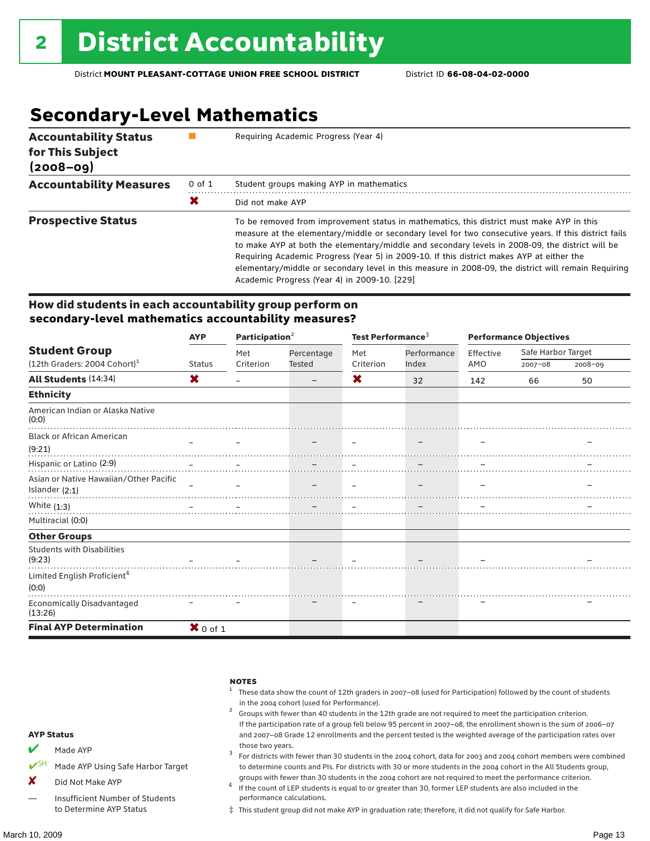# **Secondary-Level Mathematics**

| <b>Accountability Status</b><br>for This Subject<br>$(2008 - 09)$ |            | Requiring Academic Progress (Year 4)                                                                                                                                                                                                                                                                                                                                                                                                                                                                                                                      |
|-------------------------------------------------------------------|------------|-----------------------------------------------------------------------------------------------------------------------------------------------------------------------------------------------------------------------------------------------------------------------------------------------------------------------------------------------------------------------------------------------------------------------------------------------------------------------------------------------------------------------------------------------------------|
| <b>Accountability Measures</b>                                    | $0$ of $1$ | Student groups making AYP in mathematics                                                                                                                                                                                                                                                                                                                                                                                                                                                                                                                  |
|                                                                   | Х          | Did not make AYP                                                                                                                                                                                                                                                                                                                                                                                                                                                                                                                                          |
| <b>Prospective Status</b>                                         |            | To be removed from improvement status in mathematics, this district must make AYP in this<br>measure at the elementary/middle or secondary level for two consecutive years. If this district fails<br>to make AYP at both the elementary/middle and secondary levels in 2008-09, the district will be<br>Requiring Academic Progress (Year 5) in 2009-10. If this district makes AYP at either the<br>elementary/middle or secondary level in this measure in 2008-09, the district will remain Requiring<br>Academic Progress (Year 4) in 2009-10. [229] |

### How did students in each accountability group perform on **secondary-level mathematics accountability measures?**

|                                              | <b>AYP</b>          | Participation $2$ |            | Test Performance <sup>3</sup> |             | <b>Performance Objectives</b> |                    |             |
|----------------------------------------------|---------------------|-------------------|------------|-------------------------------|-------------|-------------------------------|--------------------|-------------|
| <b>Student Group</b>                         |                     | Met               | Percentage | Met                           | Performance | Effective                     | Safe Harbor Target |             |
| $(12th$ Graders: 2004 Cohort) <sup>1</sup>   | <b>Status</b>       | Criterion         | Tested     | Criterion                     | Index       | AMO                           | 2007-08            | $2008 - 09$ |
| All Students (14:34)                         | X                   |                   |            | X                             | 32          | 142                           | 66                 | 50          |
| <b>Ethnicity</b>                             |                     |                   |            |                               |             |                               |                    |             |
| American Indian or Alaska Native<br>(0:0)    |                     |                   |            |                               |             |                               |                    |             |
| <b>Black or African American</b>             |                     |                   |            |                               |             |                               |                    |             |
| (9:21)                                       |                     |                   |            |                               |             |                               |                    |             |
|                                              |                     |                   |            |                               |             |                               |                    |             |
| Asian or Native Hawaiian/Other Pacific       |                     |                   |            |                               |             |                               |                    |             |
| Islander $(2:1)$                             |                     |                   |            |                               |             |                               |                    |             |
| White $(1:3)$                                |                     |                   |            |                               |             |                               |                    |             |
| Multiracial (0:0)                            |                     |                   |            |                               |             |                               |                    |             |
| <b>Other Groups</b>                          |                     |                   |            |                               |             |                               |                    |             |
| <b>Students with Disabilities</b><br>(9:23)  |                     |                   |            |                               |             |                               |                    |             |
| Limited English Proficient <sup>4</sup>      |                     |                   |            |                               |             |                               |                    |             |
| (0:0)                                        |                     |                   |            |                               |             |                               |                    |             |
| <b>Economically Disadvantaged</b><br>(13:26) |                     |                   |            |                               |             |                               |                    |             |
| <b>Final AYP Determination</b>               | $\mathbf{X}$ 0 of 1 |                   |            |                               |             |                               |                    |             |

|                       |                                                            | <b>NOTES</b><br>These data show the count of 12th graders in 2007-08 (used for Participation) followed by the count of students<br>in the 2004 cohort (used for Performance).<br>Groups with fewer than 40 students in the 12th grade are not required to meet the participation criterion.<br>If the participation rate of a group fell below 95 percent in 2007-08, the enrollment shown is the sum of 2006-07 |
|-----------------------|------------------------------------------------------------|------------------------------------------------------------------------------------------------------------------------------------------------------------------------------------------------------------------------------------------------------------------------------------------------------------------------------------------------------------------------------------------------------------------|
|                       | <b>AYP Status</b>                                          | and 2007-08 Grade 12 enrollments and the percent tested is the weighted average of the participation rates over                                                                                                                                                                                                                                                                                                  |
| V                     | Made AYP                                                   | those two years.<br>For districts with fewer than 30 students in the 2004 cohort, data for 2003 and 2004 cohort members were combined                                                                                                                                                                                                                                                                            |
| $\boldsymbol{\nu}$ SH | Made AYP Using Safe Harbor Target                          | to determine counts and PIs. For districts with 30 or more students in the 2004 cohort in the All Students group,                                                                                                                                                                                                                                                                                                |
| X                     | Did Not Make AYP                                           | groups with fewer than 30 students in the 2004 cohort are not required to meet the performance criterion.<br>If the count of LEP students is equal to or greater than 30, former LEP students are also included in the                                                                                                                                                                                           |
|                       | Insufficient Number of Students<br>to Determine AYP Status | performance calculations.<br>$\ddagger$ This student group did not make AYP in graduation rate; therefore, it did not qualify for Safe Harbor.                                                                                                                                                                                                                                                                   |

#### ‡ This student group did not make AYP in graduation rate; therefore, it did not qualify for Safe Harbor.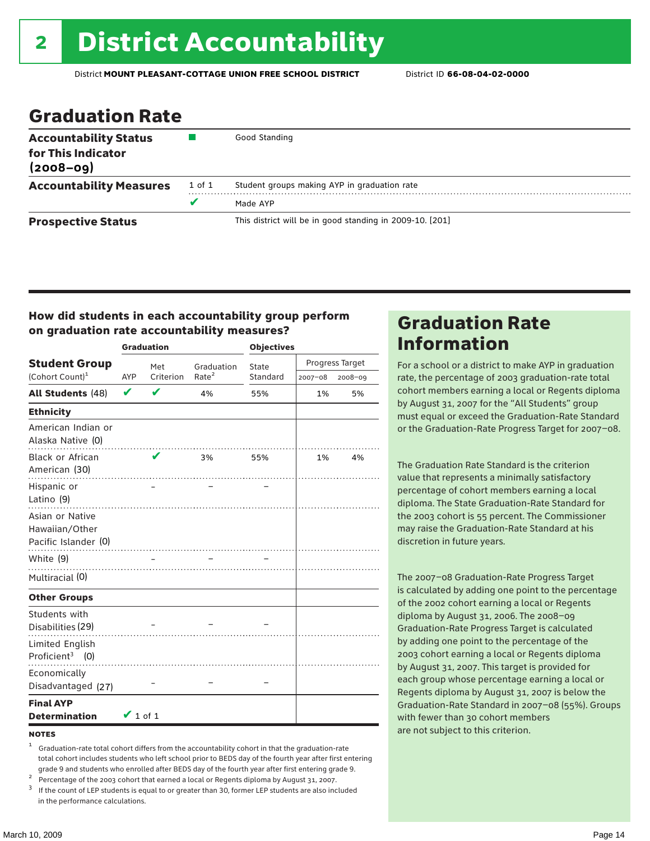### Graduation Rate

| <b>Accountability Status</b><br>for This Indicator<br>$(2008 - 09)$ |        | Good Standing                                            |
|---------------------------------------------------------------------|--------|----------------------------------------------------------|
| <b>Accountability Measures</b>                                      | 1 of 1 | Student groups making AYP in graduation rate             |
|                                                                     | v      | Made AYP                                                 |
| <b>Prospective Status</b>                                           |        | This district will be in good standing in 2009-10. [201] |

### How did students in each accountability group perform on graduation rate accountability measures?

|                                                           |               | <b>Graduation</b> |                   | <b>Objectives</b> |                 |         |  |
|-----------------------------------------------------------|---------------|-------------------|-------------------|-------------------|-----------------|---------|--|
| <b>Student Group</b>                                      |               | Met               | Graduation        | State             | Progress Target |         |  |
| (Cohort Count) <sup>1</sup>                               | AYP           | Criterion         | Rate <sup>2</sup> | Standard          | 2007-08         | 2008-09 |  |
| <b>All Students (48)</b>                                  | V             | $\mathbf v$       | 4%                | 55%               | 1%              | 5%      |  |
| <b>Ethnicity</b>                                          |               |                   |                   |                   |                 |         |  |
| American Indian or<br>Alaska Native (0)                   |               |                   |                   |                   |                 |         |  |
| Black or African<br>American (30)                         |               | V                 | 3%                | 55%               | $1\%$           | 4%      |  |
| Hispanic or<br>Latino (9)                                 |               |                   |                   |                   |                 |         |  |
| Asian or Native<br>Hawaiian/Other<br>Pacific Islander (0) |               |                   |                   |                   |                 |         |  |
| White (9)                                                 |               |                   |                   |                   |                 |         |  |
| Multiracial (0)                                           |               |                   |                   |                   |                 |         |  |
| <b>Other Groups</b>                                       |               |                   |                   |                   |                 |         |  |
| Students with<br>Disabilities (29)                        |               |                   |                   |                   |                 |         |  |
| Limited English<br>Proficient <sup>3</sup> (0)            |               |                   |                   |                   |                 |         |  |
| Economically<br>Disadvantaged (27)                        |               |                   |                   |                   |                 |         |  |
| <b>Final AYP</b><br><b>Determination</b>                  | $\vee$ 1 of 1 |                   |                   |                   |                 |         |  |

#### **NOTES**

- <sup>1</sup> Graduation-rate total cohort differs from the accountability cohort in that the graduation-rate total cohort includes students who left school prior to BEDS day of the fourth year after first entering
- 
- grade 9 and students who enrolled after BEDS day of the fourth year after first entering grade 9.<br>
<sup>2</sup> Percentage of the 2003 cohort that earned a local or Regents diploma by August 31, 2007.<br>
<sup>3</sup> If the count of LEP stud in the performance calculations.

### Graduation Rate Information

For a school or a district to make AYP in graduation rate, the percentage of 2003 graduation-rate total cohort members earning a local or Regents diploma by August 31, 2007 for the "All Students" group must equal or exceed the Graduation-Rate Standard or the Graduation-Rate Progress Target for 2007–08.

The Graduation Rate Standard is the criterion value that represents a minimally satisfactory percentage of cohort members earning a local diploma. The State Graduation-Rate Standard for the 2003 cohort is 55 percent. The Commissioner may raise the Graduation-Rate Standard at his discretion in future years.

The 2007–08 Graduation-Rate Progress Target is calculated by adding one point to the percentage of the 2002 cohort earning a local or Regents diploma by August 31, 2006. The 2008–09 Graduation-Rate Progress Target is calculated by adding one point to the percentage of the 2003 cohort earning a local or Regents diploma by August 31, 2007. This target is provided for each group whose percentage earning a local or Regents diploma by August 31, 2007 is below the Graduation-Rate Standard in 2007–08 (55%). Groups with fewer than 30 cohort members are not subject to this criterion.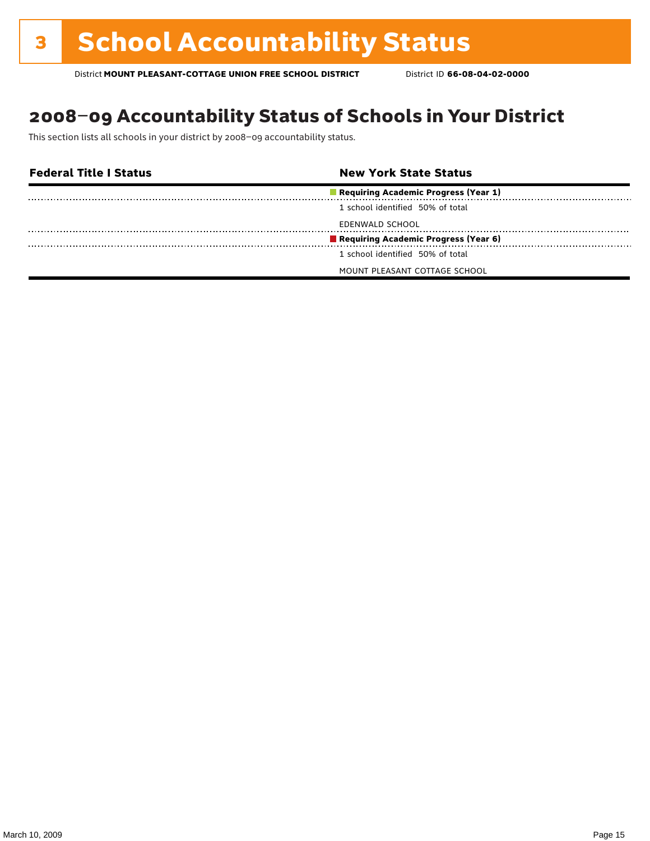### 2008–09 Accountability Status of Schools in Your District

This section lists all schools in your district by 2008–09 accountability status.

| <b>Federal Title I Status</b> | <b>New York State Status</b>         |  |
|-------------------------------|--------------------------------------|--|
|                               | Requiring Academic Progress (Year 1) |  |
|                               | 1 school identified 50% of total     |  |
|                               | EDENWALD SCHOOL                      |  |
|                               | Requiring Academic Progress (Year 6) |  |
|                               | 1 school identified 50% of total     |  |
|                               | MOUNT PLEASANT COTTAGE SCHOOL        |  |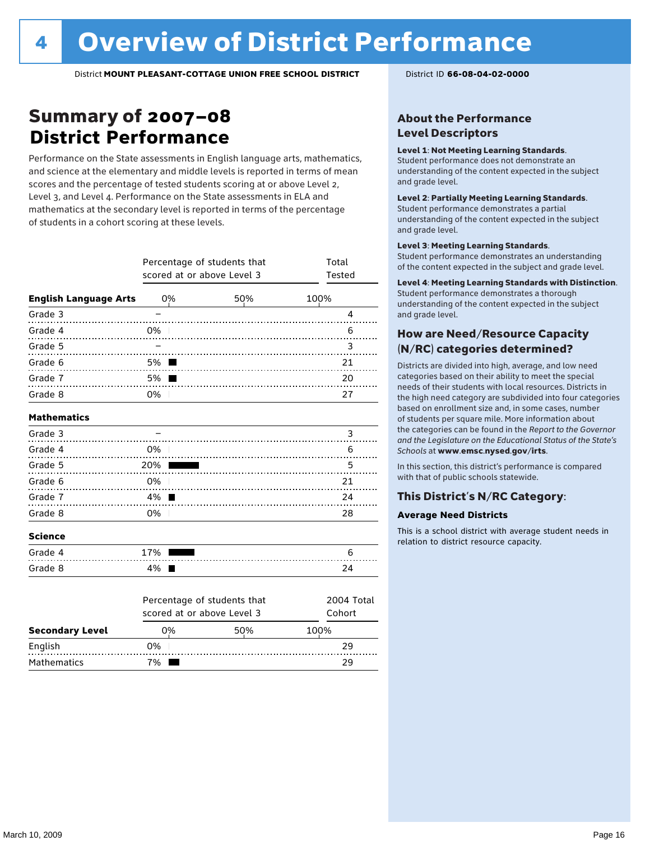### Summary of 2007–08 **District Performance**

Performance on the State assessments in English language arts, mathematics, and science at the elementary and middle levels is reported in terms of mean scores and the percentage of tested students scoring at or above Level 2, Level 3, and Level 4. Performance on the State assessments in ELA and mathematics at the secondary level is reported in terms of the percentage of students in a cohort scoring at these levels.

|                              | Percentage of students that<br>scored at or above Level 3 | Total<br>Tested             |                      |
|------------------------------|-----------------------------------------------------------|-----------------------------|----------------------|
| <b>English Language Arts</b> | 0%                                                        | 50%                         | 100%                 |
| Grade 3                      |                                                           |                             | 4                    |
| Grade 4                      | 0%                                                        |                             | 6                    |
| Grade 5<br>.                 |                                                           |                             | 3                    |
| Grade 6                      | 5%                                                        |                             | 21                   |
| Grade 7                      | 5%                                                        |                             | 20                   |
| Grade 8                      | 0%<br>$\mathcal{L}$                                       |                             | 27                   |
| <b>Mathematics</b>           |                                                           |                             |                      |
| Grade 3                      |                                                           |                             | 3                    |
| Grade 4                      | 0%                                                        |                             | 6                    |
| Grade 5                      | 20%                                                       |                             | 5                    |
| Grade 6                      | 0%                                                        |                             | 21                   |
| Grade 7                      | 4%                                                        |                             | 24                   |
| Grade 8                      | 0%                                                        |                             | 28                   |
| <b>Science</b>               |                                                           |                             |                      |
| Grade 4                      | 17%                                                       |                             | 6                    |
| Grade 8                      | 4%                                                        |                             | 24                   |
|                              | scored at or above Level 3                                | Percentage of students that | 2004 Total<br>Cohort |

|                        |    | scored at or above Level 3 |      |  |  |  |  |
|------------------------|----|----------------------------|------|--|--|--|--|
| <b>Secondary Level</b> | ገ% | 50%                        | 100% |  |  |  |  |
| English                | 0% |                            | 29   |  |  |  |  |
| <b>Mathematics</b>     | '% |                            | 7 Q  |  |  |  |  |

### About the Performance Level Descriptors

#### Level 1: Not Meeting Learning Standards.

Student performance does not demonstrate an understanding of the content expected in the subject and grade level.

#### Level 2: Partially Meeting Learning Standards.

Student performance demonstrates a partial understanding of the content expected in the subject and grade level.

#### Level 3: Meeting Learning Standards.

Student performance demonstrates an understanding of the content expected in the subject and grade level.

#### Level 4: Meeting Learning Standards with Distinction.

Student performance demonstrates a thorough understanding of the content expected in the subject and grade level.

#### How are Need/Resource Capacity (N/RC) categories determined?

Districts are divided into high, average, and low need categories based on their ability to meet the special needs of their students with local resources. Districts in the high need category are subdivided into four categories based on enrollment size and, in some cases, number of students per square mile. More information about the categories can be found in the *Report to the Governor and the Legislature on the Educational Status of the State's Schools* at www.emsc.nysed.gov/irts.

In this section, this district's performance is compared with that of public schools statewide.

### This District's N/RC Category:

#### **Average Need Districts**

This is a school district with average student needs in relation to district resource capacity.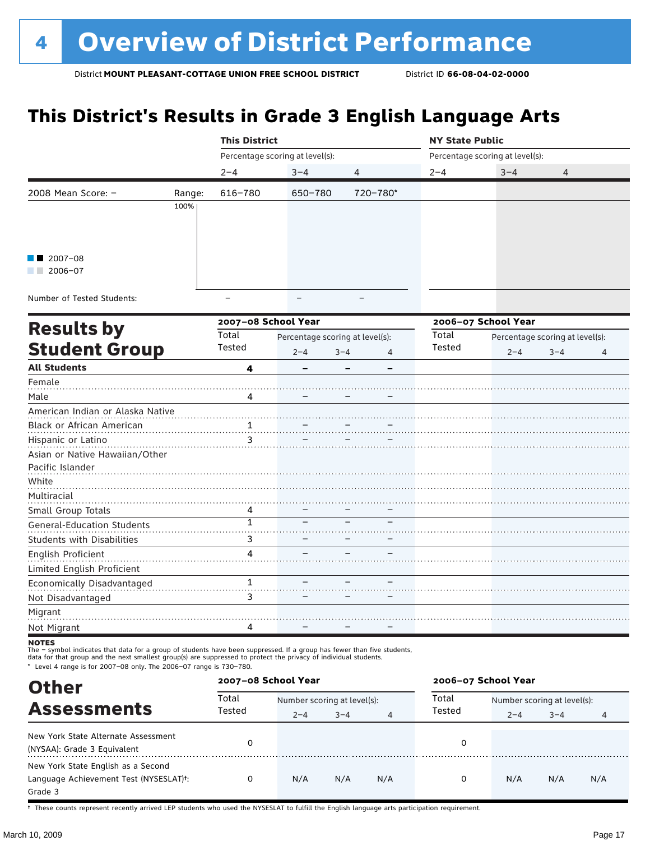# **This District's Results in Grade 3 English Language Arts**

|                                   |        | <b>This District</b> |                                 |              | <b>NY State Public</b> |                                 |         |   |  |
|-----------------------------------|--------|----------------------|---------------------------------|--------------|------------------------|---------------------------------|---------|---|--|
|                                   |        |                      | Percentage scoring at level(s): |              |                        | Percentage scoring at level(s): |         |   |  |
|                                   |        | $2 - 4$              | $3 - 4$                         | 4            | $2 - 4$                | $3 - 4$                         | 4       |   |  |
| 2008 Mean Score: -                | Range: | 616-780              | 650-780                         | 720-780*     |                        |                                 |         |   |  |
|                                   | 100%   |                      |                                 |              |                        |                                 |         |   |  |
|                                   |        |                      |                                 |              |                        |                                 |         |   |  |
|                                   |        |                      |                                 |              |                        |                                 |         |   |  |
| 2007-08                           |        |                      |                                 |              |                        |                                 |         |   |  |
| $\blacksquare$ 2006-07            |        |                      |                                 |              |                        |                                 |         |   |  |
|                                   |        |                      |                                 |              |                        |                                 |         |   |  |
| Number of Tested Students:        |        | $\equiv$             |                                 |              |                        |                                 |         |   |  |
|                                   |        | 2007-08 School Year  |                                 |              |                        | 2006-07 School Year             |         |   |  |
| <b>Results by</b>                 |        | Total                | Percentage scoring at level(s): |              | Total                  | Percentage scoring at level(s): |         |   |  |
| <b>Student Group</b>              |        | Tested               | $2 - 4$                         | $3 - 4$<br>4 | Tested                 | $2 - 4$                         | $3 - 4$ | 4 |  |
| <b>All Students</b>               |        | 4                    |                                 |              |                        |                                 |         |   |  |
| Female                            |        |                      |                                 |              |                        |                                 |         |   |  |
| Male                              |        | Δ                    |                                 |              |                        |                                 |         |   |  |
| American Indian or Alaska Native  |        |                      |                                 |              |                        |                                 |         |   |  |
| Black or African American         |        | $\frac{1}{\cdots}$   |                                 |              |                        |                                 |         |   |  |
| Hispanic or Latino                |        | 3                    |                                 |              |                        |                                 |         |   |  |
| Asian or Native Hawaiian/Other    |        |                      |                                 |              |                        |                                 |         |   |  |
| Pacific Islander                  |        |                      |                                 |              |                        |                                 |         |   |  |
| White                             |        |                      |                                 |              |                        |                                 |         |   |  |
| Multiracial                       |        |                      |                                 |              |                        |                                 |         |   |  |
| Small Group Totals                |        | 4                    |                                 |              |                        |                                 |         |   |  |
| <b>General-Education Students</b> |        | $\mathbf{1}$         |                                 |              |                        |                                 |         |   |  |
| Students with Disabilities        |        | 3                    |                                 |              |                        |                                 |         |   |  |
| English Proficient                |        | 4                    |                                 |              |                        |                                 |         |   |  |
| Limited English Proficient        |        |                      |                                 |              |                        |                                 |         |   |  |
| Economically Disadvantaged        |        | 1                    |                                 |              |                        |                                 |         |   |  |
| Not Disadvantaged                 |        | 3                    |                                 |              |                        |                                 |         |   |  |
| Migrant                           |        |                      |                                 |              |                        |                                 |         |   |  |
| Not Migrant                       |        | 4                    |                                 |              |                        |                                 |         |   |  |
| <b>NOTEC</b>                      |        |                      |                                 |              |                        |                                 |         |   |  |

notes

The – symbol indicates that data for a group of students have been suppressed. If a group has fewer than five students,<br>data for that group and the next smallest group(s) are suppressed to protect the privacy of individual

\* Level 4 range is for 2007–08 only. The 2006–07 range is 730–780.

| <b>Other</b>                                                                                         | 2007-08 School Year |                             |         |                | 2006-07 School Year |                             |         |     |  |
|------------------------------------------------------------------------------------------------------|---------------------|-----------------------------|---------|----------------|---------------------|-----------------------------|---------|-----|--|
| <b>Assessments</b>                                                                                   | Total<br>Tested     | Number scoring at level(s): |         |                | Total               | Number scoring at level(s): |         |     |  |
|                                                                                                      |                     | $2 - 4$                     | $3 - 4$ | $\overline{4}$ | Tested              | $2 - 4$                     | $3 - 4$ | 4   |  |
| New York State Alternate Assessment<br>(NYSAA): Grade 3 Equivalent                                   |                     |                             |         |                | 0                   |                             |         |     |  |
| New York State English as a Second<br>Language Achievement Test (NYSESLAT) <sup>+</sup> :<br>Grade 3 | 0                   | N/A                         | N/A     | N/A            | 0                   | N/A                         | N/A     | N/A |  |

† These counts represent recently arrived LEP students who used the NYSESLAT to fulfill the English language arts participation requirement.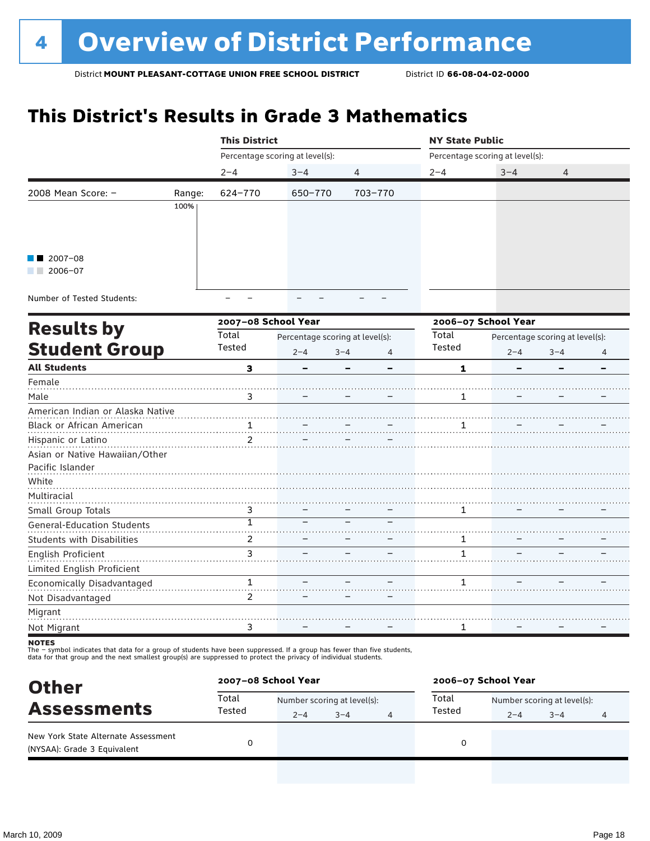# **This District's Results in Grade 3 Mathematics**

|                                   |        | <b>This District</b>      |                                 |              | <b>NY State Public</b> |                                 |         |   |  |
|-----------------------------------|--------|---------------------------|---------------------------------|--------------|------------------------|---------------------------------|---------|---|--|
|                                   |        |                           | Percentage scoring at level(s): |              |                        | Percentage scoring at level(s): |         |   |  |
|                                   |        | $2 - 4$                   | $3 - 4$                         | 4            | $2 - 4$                | $3 - 4$                         | 4       |   |  |
| 2008 Mean Score: -                | Range: | 624-770                   | 650-770                         | 703-770      |                        |                                 |         |   |  |
|                                   | 100%   |                           |                                 |              |                        |                                 |         |   |  |
|                                   |        |                           |                                 |              |                        |                                 |         |   |  |
|                                   |        |                           |                                 |              |                        |                                 |         |   |  |
| $2007 - 08$                       |        |                           |                                 |              |                        |                                 |         |   |  |
| $\blacksquare$ 2006-07            |        |                           |                                 |              |                        |                                 |         |   |  |
| Number of Tested Students:        |        |                           |                                 |              |                        |                                 |         |   |  |
|                                   |        | 2007-08 School Year       |                                 |              |                        | 2006-07 School Year             |         |   |  |
| <b>Results by</b>                 |        | Total                     | Percentage scoring at level(s): |              | Total                  | Percentage scoring at level(s): |         |   |  |
| <b>Student Group</b>              |        | Tested                    | $2 - 4$                         | $3 - 4$<br>4 | Tested                 | $2 - 4$                         | $3 - 4$ | 4 |  |
| <b>All Students</b>               |        | 3                         |                                 |              | 1                      |                                 |         | - |  |
| Female                            |        |                           |                                 |              |                        |                                 |         |   |  |
| Male                              |        | 3                         |                                 |              | $\mathbf{1}$           |                                 |         |   |  |
| American Indian or Alaska Native  |        |                           |                                 |              |                        |                                 |         |   |  |
| Black or African American         |        | 1                         |                                 |              |                        |                                 |         |   |  |
| Hispanic or Latino                |        | 2                         |                                 |              |                        |                                 |         |   |  |
| Asian or Native Hawaiian/Other    |        |                           |                                 |              |                        |                                 |         |   |  |
| Pacific Islander                  |        |                           |                                 |              |                        |                                 |         |   |  |
| White                             |        |                           |                                 |              |                        |                                 |         |   |  |
| Multiracial                       |        |                           |                                 |              |                        |                                 |         |   |  |
| Small Group Totals                |        | 3                         |                                 |              | 1                      |                                 |         |   |  |
| <b>General-Education Students</b> |        | $\overline{1}$            |                                 |              |                        |                                 |         |   |  |
| <b>Students with Disabilities</b> |        | $\overline{2}$            |                                 |              | 1                      |                                 |         |   |  |
| English Proficient                |        | 3<br>$\sim$ $\sim$ $\sim$ |                                 |              | 1                      |                                 |         |   |  |
| Limited English Proficient        |        |                           |                                 |              |                        |                                 |         |   |  |
| Economically Disadvantaged        |        | 1                         |                                 |              | 1                      |                                 |         |   |  |
| Not Disadvantaged                 |        | $\overline{2}$            |                                 |              |                        |                                 |         |   |  |
| Migrant                           |        |                           |                                 |              |                        |                                 |         |   |  |
| Not Migrant                       |        | 3                         |                                 |              | 1                      |                                 |         |   |  |
|                                   |        |                           |                                 |              |                        |                                 |         |   |  |

notes

The – symbol indicates that data for a group of students have been suppressed. If a group has fewer than five students,<br>data for that group and the next smallest group(s) are suppressed to protect the privacy of individual

| <b>Other</b>                                                                             |                 | 2007-08 School Year |                             |   | 2006-07 School Year |                             |         |   |  |
|------------------------------------------------------------------------------------------|-----------------|---------------------|-----------------------------|---|---------------------|-----------------------------|---------|---|--|
| <b>Assessments</b><br>New York State Alternate Assessment<br>(NYSAA): Grade 3 Equivalent | Total<br>Tested |                     | Number scoring at level(s): |   |                     | Number scoring at level(s): |         |   |  |
|                                                                                          |                 | $2 - 4$             | $3 - 4$                     | 4 | Tested              | $2 - 4$                     | $3 - 4$ | 4 |  |
|                                                                                          |                 |                     |                             |   |                     |                             |         |   |  |
|                                                                                          |                 |                     |                             |   |                     |                             |         |   |  |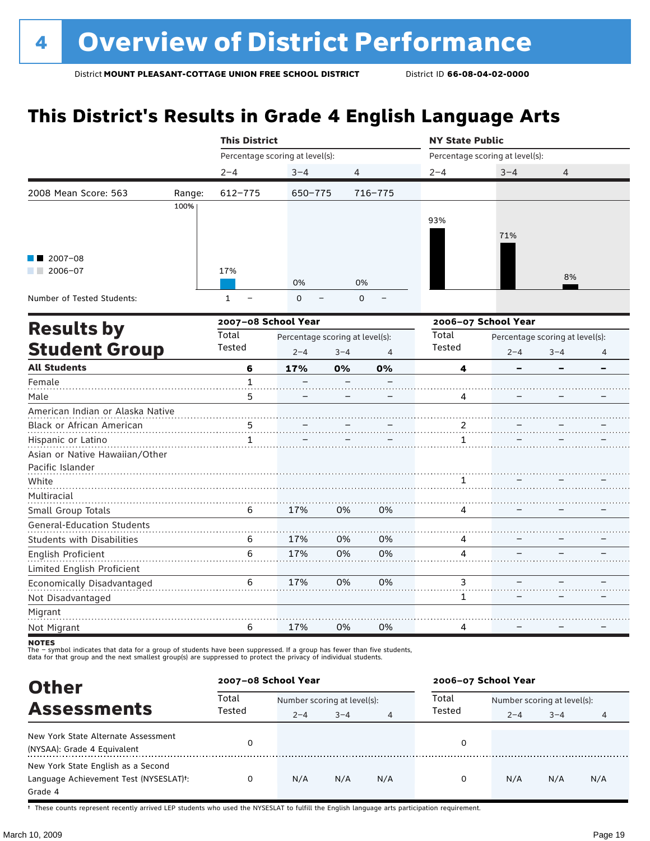# **This District's Results in Grade 4 English Language Arts**

|                                   |        | <b>This District</b> |                                 |                |         | <b>NY State Public</b> |                                 |                                 |                          |  |
|-----------------------------------|--------|----------------------|---------------------------------|----------------|---------|------------------------|---------------------------------|---------------------------------|--------------------------|--|
|                                   |        |                      | Percentage scoring at level(s): |                |         |                        | Percentage scoring at level(s): |                                 |                          |  |
|                                   |        | $2 - 4$              | $3 - 4$                         | $\overline{4}$ |         | $2 - 4$                | $3 - 4$                         | $\overline{4}$                  |                          |  |
| 2008 Mean Score: 563              | Range: | $612 - 775$          | 650-775                         |                | 716-775 |                        |                                 |                                 |                          |  |
|                                   | 100%   |                      |                                 |                |         |                        |                                 |                                 |                          |  |
|                                   |        |                      |                                 |                |         | 93%                    |                                 |                                 |                          |  |
|                                   |        |                      |                                 |                |         |                        | 71%                             |                                 |                          |  |
| $2007 - 08$                       |        |                      |                                 |                |         |                        |                                 |                                 |                          |  |
| 2006-07                           |        | 17%                  |                                 |                |         |                        |                                 |                                 |                          |  |
|                                   |        |                      | 0%                              | 0%             |         |                        |                                 | 8%                              |                          |  |
| Number of Tested Students:        |        | $\mathbf{1}$         | 0                               | 0              |         |                        |                                 |                                 |                          |  |
|                                   |        | 2007-08 School Year  |                                 |                |         |                        | 2006-07 School Year             |                                 |                          |  |
| <b>Results by</b>                 |        | Total                | Percentage scoring at level(s): |                |         | Total                  |                                 | Percentage scoring at level(s): |                          |  |
| <b>Student Group</b>              |        | Tested               | $2 - 4$                         | $3 - 4$        | 4       | Tested                 | $2 - 4$                         | $3 - 4$                         | 4                        |  |
| <b>All Students</b>               |        | 6                    | 17%                             | 0%             | 0%      | 4                      |                                 |                                 | $\overline{\phantom{0}}$ |  |
| Female                            |        | $\mathbf 1$          |                                 |                |         |                        |                                 |                                 |                          |  |
| Male                              |        | 5                    |                                 |                |         | 4                      |                                 |                                 |                          |  |
| American Indian or Alaska Native  |        |                      |                                 |                |         |                        |                                 |                                 |                          |  |
| Black or African American         |        | 5                    |                                 |                |         | 2                      |                                 |                                 |                          |  |
| Hispanic or Latino                |        | 1                    |                                 |                |         | 1                      |                                 |                                 |                          |  |
| Asian or Native Hawaiian/Other    |        |                      |                                 |                |         |                        |                                 |                                 |                          |  |
| Pacific Islander                  |        |                      |                                 |                |         |                        |                                 |                                 |                          |  |
| White                             |        |                      |                                 |                |         |                        |                                 |                                 |                          |  |
| Multiracial                       |        |                      |                                 |                |         |                        |                                 |                                 |                          |  |
| Small Group Totals                |        | 6                    | 17%                             | 0%             | 0%      | 4                      |                                 |                                 |                          |  |
| <b>General-Education Students</b> |        |                      |                                 |                |         |                        |                                 |                                 |                          |  |
| <b>Students with Disabilities</b> |        | 6                    | 17%                             | 0%             | 0%      | 4                      |                                 |                                 |                          |  |
| English Proficient                |        | 6                    | 17%                             | 0%             | 0%      | 4                      |                                 |                                 |                          |  |
| Limited English Proficient        |        |                      |                                 |                |         |                        |                                 |                                 |                          |  |
| Economically Disadvantaged        |        | 6                    | 17%                             | 0%             | 0%      | 3                      |                                 |                                 |                          |  |
| Not Disadvantaged                 |        |                      |                                 |                |         | $\mathbf{1}$           |                                 |                                 |                          |  |
| Migrant                           |        |                      |                                 |                |         |                        |                                 |                                 |                          |  |
| Not Migrant                       |        | 6                    | 17%                             | 0%             | 0%      | 4                      |                                 |                                 |                          |  |
| <b>NOTEC</b>                      |        |                      |                                 |                |         |                        |                                 |                                 |                          |  |

notes

The – symbol indicates that data for a group of students have been suppressed. If a group has fewer than five students,<br>data for that group and the next smallest group(s) are suppressed to protect the privacy of individual

| <b>Other</b>                                                                              |        | 2007-08 School Year         |         |     | 2006-07 School Year |                             |         |     |
|-------------------------------------------------------------------------------------------|--------|-----------------------------|---------|-----|---------------------|-----------------------------|---------|-----|
| <b>Assessments</b>                                                                        | Total  | Number scoring at level(s): |         |     | Total               | Number scoring at level(s): |         |     |
|                                                                                           | Tested | $2 - 4$                     | $3 - 4$ | 4   | Tested              | $2 - 4$                     | $3 - 4$ | 4   |
| New York State Alternate Assessment<br>(NYSAA): Grade 4 Equivalent                        | 0      |                             |         |     | 0                   |                             |         |     |
| New York State English as a Second<br>Language Achievement Test (NYSESLAT) <sup>t</sup> : | 0      | N/A                         | N/A     | N/A | 0                   | N/A                         | N/A     | N/A |
| Grade 4                                                                                   |        |                             |         |     |                     |                             |         |     |

† These counts represent recently arrived LEP students who used the NYSESLAT to fulfill the English language arts participation requirement.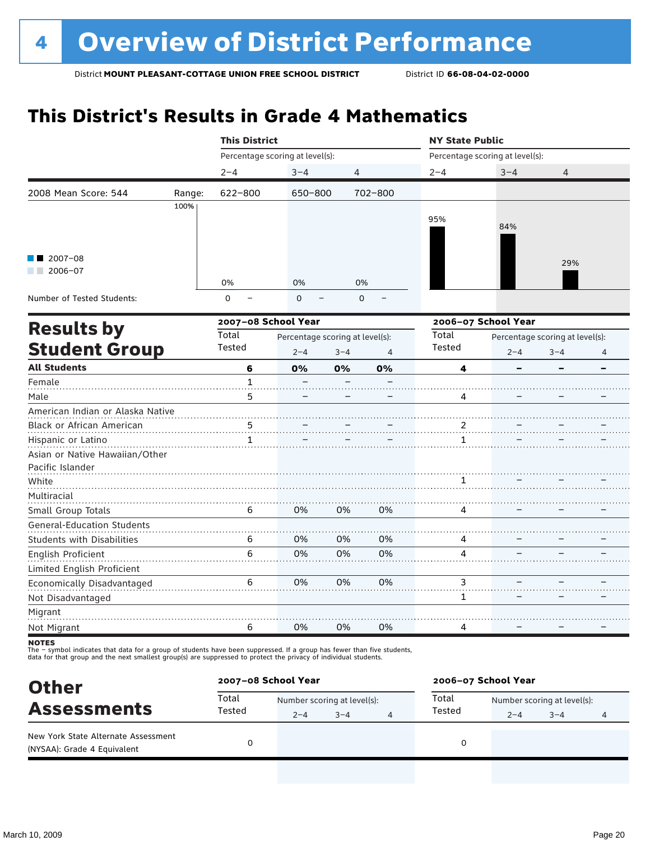### **This District's Results in Grade 4 Mathematics**

|                                   |        | <b>This District</b> |                                 |             |                | <b>NY State Public</b> |                                 |                                 |   |  |
|-----------------------------------|--------|----------------------|---------------------------------|-------------|----------------|------------------------|---------------------------------|---------------------------------|---|--|
|                                   |        |                      | Percentage scoring at level(s): |             |                |                        | Percentage scoring at level(s): |                                 |   |  |
|                                   |        | $2 - 4$              | $3 - 4$                         | 4           |                | $2 - 4$                | $3 - 4$                         | 4                               |   |  |
| 2008 Mean Score: 544              | Range: | 622-800              | 650-800                         |             | 702-800        |                        |                                 |                                 |   |  |
|                                   | 100%   |                      |                                 |             |                |                        |                                 |                                 |   |  |
|                                   |        |                      |                                 |             |                | 95%                    | 84%                             |                                 |   |  |
|                                   |        |                      |                                 |             |                |                        |                                 |                                 |   |  |
| $2007 - 08$                       |        |                      |                                 |             |                |                        |                                 |                                 |   |  |
| $2006 - 07$                       |        |                      |                                 |             |                |                        |                                 | 29%                             |   |  |
|                                   |        | 0%                   | 0%                              | 0%          |                |                        |                                 |                                 |   |  |
| Number of Tested Students:        |        | $\overline{0}$       | $\mathbf 0$                     | $\mathbf 0$ |                |                        |                                 |                                 |   |  |
|                                   |        | 2007-08 School Year  |                                 |             |                |                        | 2006-07 School Year             |                                 |   |  |
| <b>Results by</b>                 |        | Total                | Percentage scoring at level(s): |             |                | Total                  |                                 | Percentage scoring at level(s): |   |  |
| <b>Student Group</b>              |        | Tested               | $2 - 4$                         | $3 - 4$     | $\overline{4}$ | Tested                 | $2 - 4$                         | $3 - 4$                         | 4 |  |
| <b>All Students</b>               |        | 6                    | 0%                              | 0%          | 0%             | 4                      |                                 |                                 |   |  |
| Female                            |        | $\mathbf{1}$         |                                 |             |                |                        |                                 |                                 |   |  |
| Male                              |        | 5                    |                                 |             |                | 4                      |                                 |                                 |   |  |
| American Indian or Alaska Native  |        |                      |                                 |             |                |                        |                                 |                                 |   |  |
| Black or African American         |        | 5                    |                                 |             |                | 2                      |                                 |                                 |   |  |
| Hispanic or Latino                |        | 1                    |                                 |             |                | 1                      |                                 |                                 |   |  |
| Asian or Native Hawaiian/Other    |        |                      |                                 |             |                |                        |                                 |                                 |   |  |
| Pacific Islander                  |        |                      |                                 |             |                |                        |                                 |                                 |   |  |
| White                             |        |                      |                                 |             |                | 1                      |                                 |                                 |   |  |
| Multiracial                       |        |                      |                                 |             |                |                        |                                 |                                 |   |  |
| Small Group Totals                |        | 6                    | 0%                              | 0%          | 0%             | 4                      |                                 |                                 |   |  |
| <b>General-Education Students</b> |        |                      |                                 |             |                |                        |                                 |                                 |   |  |
| <b>Students with Disabilities</b> |        | 6                    | 0%                              | 0%          | 0%             | 4                      |                                 |                                 |   |  |
| English Proficient                |        | 6                    | 0%                              | 0%          | 0%             | 4                      |                                 |                                 |   |  |
| Limited English Proficient        |        |                      |                                 |             |                |                        |                                 |                                 |   |  |
| Economically Disadvantaged        |        | 6                    | 0%                              | 0%          | 0%             | 3                      |                                 |                                 |   |  |
| Not Disadvantaged                 |        |                      |                                 |             |                | 1                      |                                 |                                 |   |  |
| Migrant                           |        |                      |                                 |             |                |                        |                                 |                                 |   |  |
| Not Migrant                       |        | 6                    | 0%                              | 0%          | 0%             | 4                      |                                 |                                 |   |  |
|                                   |        |                      |                                 |             |                |                        |                                 |                                 |   |  |

notes

The – symbol indicates that data for a group of students have been suppressed. If a group has fewer than five students,<br>data for that group and the next smallest group(s) are suppressed to protect the privacy of individual

| <b>Other</b><br><b>Assessments</b><br>New York State Alternate Assessment<br>(NYSAA): Grade 4 Equivalent | 2007-08 School Year |         |                             |   | 2006-07 School Year |                             |         |   |
|----------------------------------------------------------------------------------------------------------|---------------------|---------|-----------------------------|---|---------------------|-----------------------------|---------|---|
|                                                                                                          | Total<br>Tested     |         | Number scoring at level(s): |   |                     | Number scoring at level(s): |         |   |
|                                                                                                          |                     | $2 - 4$ | $3 - 4$                     | 4 | Tested              | $2 - 4$                     | $3 - 4$ | 4 |
|                                                                                                          |                     |         |                             |   | 0                   |                             |         |   |
|                                                                                                          |                     |         |                             |   |                     |                             |         |   |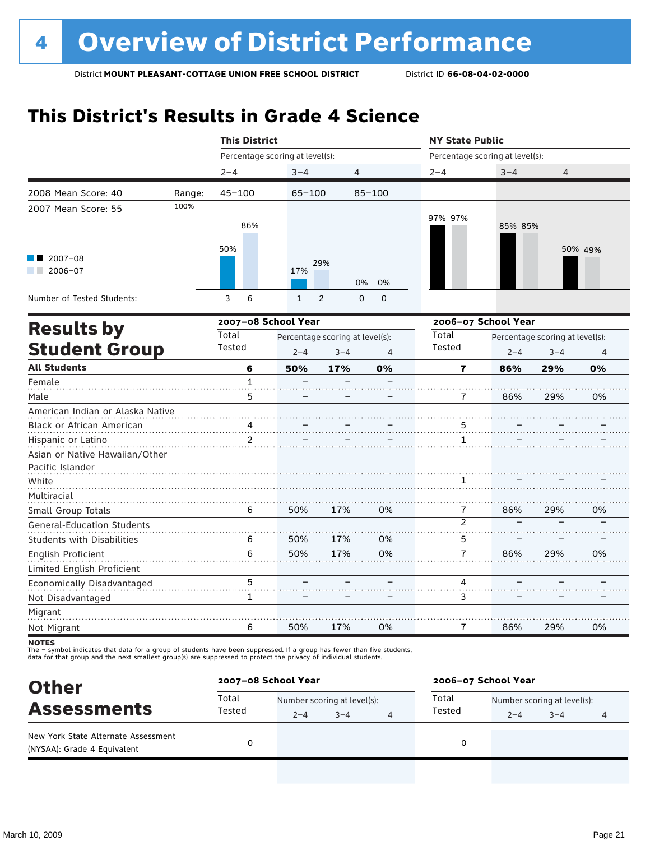### **This District's Results in Grade 4 Science**

|                                   |        | <b>This District</b> |                                 |                                 |                  |                     | <b>NY State Public</b>          |         |         |  |  |
|-----------------------------------|--------|----------------------|---------------------------------|---------------------------------|------------------|---------------------|---------------------------------|---------|---------|--|--|
|                                   |        |                      | Percentage scoring at level(s): |                                 |                  |                     | Percentage scoring at level(s): |         |         |  |  |
|                                   |        | $2 - 4$              | $3 - 4$                         | 4                               |                  | $2 - 4$             | $3 - 4$                         | 4       |         |  |  |
| 2008 Mean Score: 40               | Range: | $45 - 100$           | $65 - 100$                      |                                 | $85 - 100$       |                     |                                 |         |         |  |  |
| 2007 Mean Score: 55               | 100%   | 86%<br>50%           |                                 |                                 |                  | 97% 97%             | 85% 85%                         |         | 50% 49% |  |  |
| $2007 - 08$<br>$2006 - 07$        |        |                      | 17%                             | 29%                             | 0%<br>0%         |                     |                                 |         |         |  |  |
| Number of Tested Students:        |        | 3<br>6               | $\mathbf{1}$                    | 2                               | $\mathbf 0$<br>0 |                     |                                 |         |         |  |  |
|                                   |        |                      | 2007-08 School Year             |                                 |                  | 2006-07 School Year |                                 |         |         |  |  |
| <b>Results by</b>                 |        | Total                |                                 | Percentage scoring at level(s): |                  |                     | Percentage scoring at level(s): |         |         |  |  |
| <b>Student Group</b>              |        | Tested               | $2 - 4$                         | $3 - 4$                         |                  | Tested              | $2 - 4$                         | $3 - 4$ | 4       |  |  |
| <b>All Students</b>               |        | 6                    | 50%                             | 17%                             | 0%               | 7                   | 86%                             | 29%     | 0%      |  |  |
| Female                            |        | $\mathbf{1}$         |                                 |                                 |                  |                     |                                 |         |         |  |  |
| Male                              |        | 5                    |                                 |                                 |                  | 7                   | 86%                             | 29%     | 0%      |  |  |
| American Indian or Alaska Native  |        |                      |                                 |                                 |                  |                     |                                 |         |         |  |  |
| Black or African American         |        | $\frac{4}{2}$        |                                 |                                 |                  |                     |                                 |         |         |  |  |
| Hispanic or Latino                |        | $\overline{2}$       |                                 |                                 |                  | 1                   |                                 |         |         |  |  |
| Asian or Native Hawaiian/Other    |        |                      |                                 |                                 |                  |                     |                                 |         |         |  |  |
| Pacific Islander                  |        |                      |                                 |                                 |                  |                     |                                 |         |         |  |  |
| White                             |        |                      |                                 |                                 |                  | 1                   |                                 |         |         |  |  |
| Multiracial                       |        |                      |                                 |                                 |                  |                     |                                 |         |         |  |  |
| Small Group Totals                |        | 6                    | 50%                             | 17%                             | 0%               | 7                   | 86%                             | 29%     | 0%      |  |  |
| <b>General-Education Students</b> |        |                      |                                 |                                 |                  | $\overline{2}$      |                                 |         |         |  |  |
| <b>Students with Disabilities</b> |        | 6                    | 50%                             | 17%                             | 0%               | 5                   |                                 |         |         |  |  |
| <b>English Proficient</b>         |        | 6                    | 50%                             | 17%                             | 0%               | $\overline{7}$      | 86%                             | 29%     | 0%      |  |  |
| Limited English Proficient        |        |                      |                                 |                                 |                  |                     |                                 |         |         |  |  |

Not Disadvantaged Migrant Not Migrant **NOTES** 1 6 – 50% – 17% – 0%

The – symbol indicates that data for a group of students have been suppressed. If a group has fewer than five students,<br>data for that group and the next smallest group(s) are suppressed to protect the privacy of individual

5

**Other Assessments**<br>Assessments Tested  $\frac{1}{2-4}$   $\frac{1}{3-4}$  and  $\frac{1}{4}$  Total Number scoring at level(s):  $2-4$   $3-4$   $4$  rested  $2-4$   $3-4$   $4$ **2007–08 School Year 2006–07 School Year** Total Tested Total Tested New York State Alternate Assessment (NYSAA): Grade 4 Equivalent <sup>0</sup> <sup>0</sup>

–

 $\overline{\mathcal{L}}$ .

–

4 3

 $\overline{\phantom{a}}$ –

– –

– –

0%

29%

86%

7

Economically Disadvantaged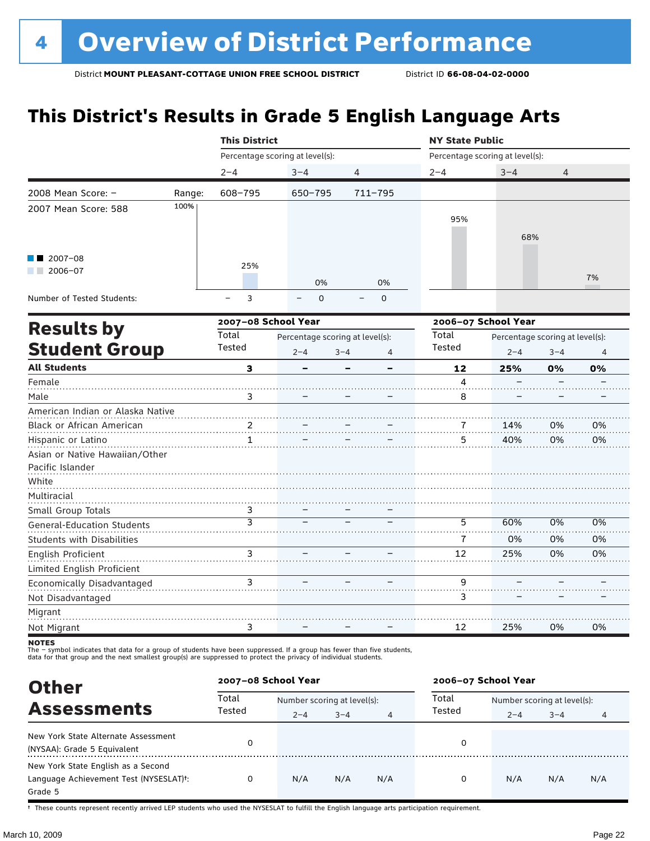# **This District's Results in Grade 5 English Language Arts**

|                                                             |        | <b>This District</b> |                                            |              | <b>NY State Public</b> |                                                       |    |                |
|-------------------------------------------------------------|--------|----------------------|--------------------------------------------|--------------|------------------------|-------------------------------------------------------|----|----------------|
|                                                             |        |                      | Percentage scoring at level(s):            |              |                        | Percentage scoring at level(s):                       |    |                |
|                                                             |        | $2 - 4$              | $3 - 4$                                    | 4            | $2 - 4$                | $3 - 4$                                               | 4  |                |
| 2008 Mean Score: -                                          | Range: | 608-795              | $650 - 795$                                | $711 - 795$  |                        |                                                       |    |                |
| 2007 Mean Score: 588                                        | 100%   |                      |                                            |              | 95%                    | 68%                                                   |    |                |
| $2007 - 08$<br>$2006 - 07$                                  |        | 25%                  | 0%                                         | 0%           |                        |                                                       |    | 7%             |
| Number of Tested Students:                                  |        | 3                    | $\mathbf 0$                                | $\mathbf 0$  |                        |                                                       |    |                |
| <b>Results by</b>                                           |        | 2007-08 School Year  |                                            |              |                        | 2006-07 School Year                                   |    |                |
| <b>Student Group</b>                                        |        | Total<br>Tested      | Percentage scoring at level(s):<br>$2 - 4$ | $3 - 4$<br>4 | Total<br><b>Tested</b> | Percentage scoring at level(s):<br>$2 - 4$<br>$3 - 4$ |    | $\overline{4}$ |
| <b>All Students</b>                                         |        | 3                    |                                            |              | 12                     | 25%                                                   | 0% | 0%             |
| Female                                                      |        |                      |                                            |              | 4                      |                                                       |    |                |
| Male                                                        |        | 3                    |                                            |              | 8                      |                                                       |    |                |
| American Indian or Alaska Native                            |        |                      |                                            |              |                        |                                                       |    |                |
| Black or African American                                   |        | 2                    |                                            |              |                        | 14%                                                   | 0% | 0%             |
| Hispanic or Latino                                          |        | $\mathbf{1}$         |                                            |              | 5                      | 40%                                                   | 0% | 0%             |
| Asian or Native Hawaiian/Other<br>Pacific Islander<br>White |        |                      |                                            |              |                        |                                                       |    |                |
| Multiracial                                                 |        |                      |                                            |              |                        |                                                       |    |                |
| Small Group Totals                                          |        | 3                    |                                            |              |                        |                                                       |    |                |
| <b>General-Education Students</b>                           |        | $\overline{3}$       |                                            |              | 5                      | 60%                                                   | 0% | 0%             |
| <b>Students with Disabilities</b>                           |        |                      |                                            |              | 7                      | 0%                                                    | 0% | 0%             |
| English Proficient                                          |        | 3                    |                                            |              | 12                     | 25%                                                   | 0% | 0%             |
| Limited English Proficient                                  |        |                      |                                            |              |                        |                                                       |    |                |
| Economically Disadvantaged<br>Not Disadvantaged             |        | 3                    |                                            |              | 9<br>3                 |                                                       |    |                |
| Migrant<br>Not Migrant                                      |        | 3                    |                                            |              | 12                     | 25%                                                   | 0% | 0%             |

The – symbot muicates that data for a group of students have been suppressed. In a group has fewer than five<br>data for that group and the next smallest group(s) are suppressed to protect the privacy of individual students.

| <b>Other</b>                                                                                         |                 | 2007-08 School Year         |         |     | 2006-07 School Year |                             |         |     |  |
|------------------------------------------------------------------------------------------------------|-----------------|-----------------------------|---------|-----|---------------------|-----------------------------|---------|-----|--|
| <b>Assessments</b>                                                                                   | Total<br>Tested | Number scoring at level(s): |         |     | Total               | Number scoring at level(s): |         |     |  |
|                                                                                                      |                 | $2 - 4$                     | $3 - 4$ | 4   | Tested              | $2 - 4$                     | $3 - 4$ | 4   |  |
| New York State Alternate Assessment<br>(NYSAA): Grade 5 Equivalent                                   |                 |                             |         |     | 0                   |                             |         |     |  |
| New York State English as a Second<br>Language Achievement Test (NYSESLAT) <sup>+</sup> :<br>Grade 5 | 0               | N/A                         | N/A     | N/A | 0                   | N/A                         | N/A     | N/A |  |

† These counts represent recently arrived LEP students who used the NYSESLAT to fulfill the English language arts participation requirement.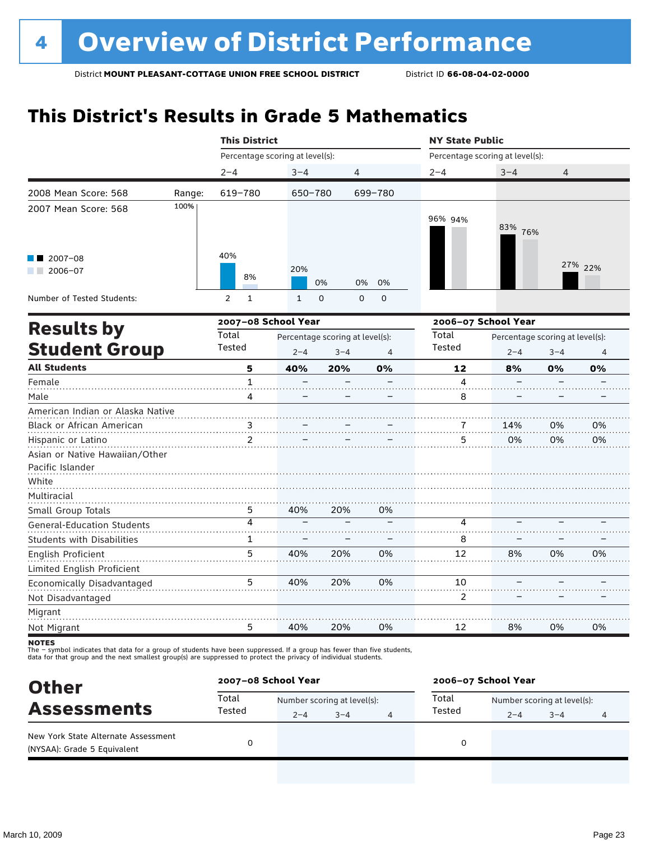# **This District's Results in Grade 5 Mathematics**

|                                                             |        | <b>This District</b>            |              |                                 |                |                                 | <b>NY State Public</b>          |         |         |  |
|-------------------------------------------------------------|--------|---------------------------------|--------------|---------------------------------|----------------|---------------------------------|---------------------------------|---------|---------|--|
|                                                             |        | Percentage scoring at level(s): |              |                                 |                | Percentage scoring at level(s): |                                 |         |         |  |
|                                                             |        | $2 - 4$                         | $3 - 4$      | 4                               |                | $2 - 4$                         | $3 - 4$                         | 4       |         |  |
| 2008 Mean Score: 568                                        | Range: | 619-780                         | 650-780      |                                 | 699-780        |                                 |                                 |         |         |  |
| 2007 Mean Score: 568                                        | 100%   |                                 |              |                                 |                | 96% 94%                         | 83% 76%                         |         |         |  |
| $2007 - 08$<br>$2006 - 07$                                  |        | 40%<br>8%                       | 20%          | 0%<br>0%                        | 0%             |                                 |                                 |         | 27% 22% |  |
| Number of Tested Students:                                  |        | $\overline{2}$<br>$\mathbf{1}$  | $\mathbf{1}$ | $\mathbf 0$<br>$\mathbf 0$      | $\mathbf 0$    |                                 |                                 |         |         |  |
| <b>Results by</b>                                           |        | 2007-08 School Year             |              |                                 |                | Total                           | 2006-07 School Year             |         |         |  |
|                                                             |        | Total                           |              | Percentage scoring at level(s): |                |                                 | Percentage scoring at level(s): |         |         |  |
| <b>Student Group</b>                                        |        | Tested                          | $2 - 4$      | $3 - 4$                         | $\overline{4}$ | Tested                          | $2 - 4$                         | $3 - 4$ | 4       |  |
| <b>All Students</b>                                         |        | 5                               | 40%          | 20%                             | 0%             | 12                              | 8%                              | 0%      | 0%      |  |
| Female                                                      |        | $\mathbf{1}$                    |              |                                 |                | 4                               |                                 |         |         |  |
| Male                                                        |        | 4                               |              |                                 |                | 8                               |                                 |         |         |  |
| American Indian or Alaska Native                            |        |                                 |              |                                 |                |                                 |                                 |         |         |  |
| Black or African American                                   |        | 3                               |              |                                 |                |                                 | 14%                             | 0%      | 0%      |  |
| Hispanic or Latino                                          |        | $\overline{2}$                  |              |                                 |                | 5                               | 0%                              | 0%      | 0%      |  |
| Asian or Native Hawaiian/Other<br>Pacific Islander<br>White |        |                                 |              |                                 |                |                                 |                                 |         |         |  |
| Multiracial                                                 |        |                                 |              |                                 |                |                                 |                                 |         |         |  |
| Small Group Totals                                          |        | 5.                              | 40%          | 20%                             | 0%             |                                 |                                 |         |         |  |
| <b>General-Education Students</b>                           |        | 4                               |              |                                 |                | 4                               |                                 |         |         |  |
| <b>Students with Disabilities</b>                           |        | 1                               |              |                                 |                | 8                               |                                 |         |         |  |
| English Proficient                                          |        | 5                               | 40%          | 20%                             | 0%             | 12                              | 8%                              | 0%      | 0%      |  |
| Limited English Proficient                                  |        |                                 |              |                                 |                |                                 |                                 |         |         |  |
| Economically Disadvantaged                                  |        | 5                               | 40%          | 20%                             | 0%             | 10                              |                                 |         |         |  |
| Not Disadvantaged                                           |        |                                 |              |                                 |                | 2                               |                                 |         |         |  |
| Migrant                                                     |        |                                 |              |                                 |                |                                 |                                 |         |         |  |
| Not Migrant                                                 |        | 5                               | 40%          | 20%                             | 0%             | 12                              | 8%                              | 0%      | 0%      |  |

**NOTES** 

The – symbol indicates that data for a group of students have been suppressed. If a group has fewer than five students,<br>data for that group and the next smallest group(s) are suppressed to protect the privacy of individual

| <b>Other</b>                                                       |                 | 2007-08 School Year |                             |   |        | 2006-07 School Year |                             |   |  |  |
|--------------------------------------------------------------------|-----------------|---------------------|-----------------------------|---|--------|---------------------|-----------------------------|---|--|--|
| <b>Assessments</b>                                                 | Total<br>Tested |                     | Number scoring at level(s): |   |        |                     | Number scoring at level(s): |   |  |  |
|                                                                    |                 | $2 - 4$             | $3 - 4$                     | 4 | Tested | $2 - 4$             | $3 - 4$                     | 4 |  |  |
| New York State Alternate Assessment<br>(NYSAA): Grade 5 Equivalent |                 |                     |                             |   |        |                     |                             |   |  |  |
|                                                                    |                 |                     |                             |   |        |                     |                             |   |  |  |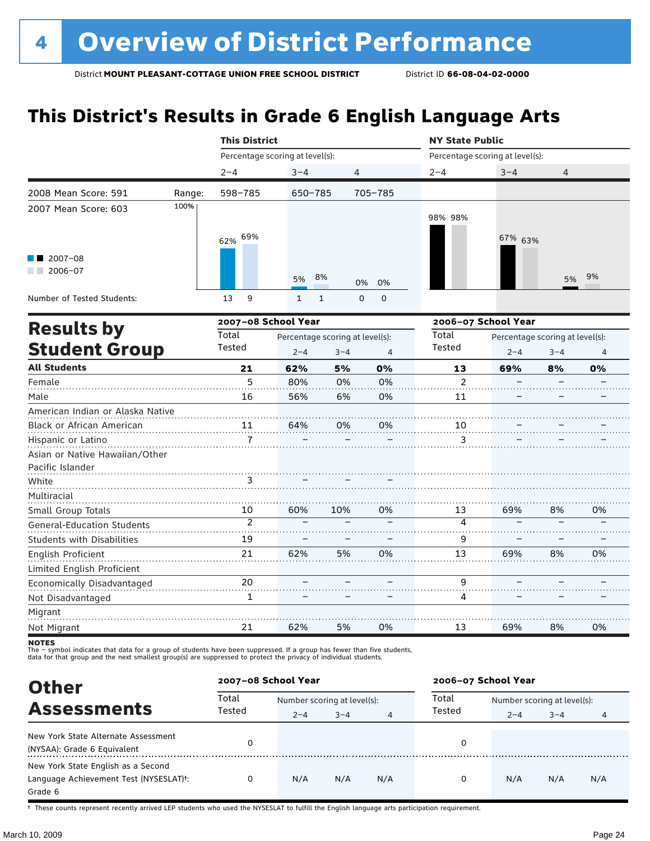# **This District's Results in Grade 6 English Language Arts**

|                                                                          |        | <b>This District</b>            |                                                            |                             |          | <b>NY State Public</b> |                                            |         |                |
|--------------------------------------------------------------------------|--------|---------------------------------|------------------------------------------------------------|-----------------------------|----------|------------------------|--------------------------------------------|---------|----------------|
|                                                                          |        | Percentage scoring at level(s): |                                                            |                             |          |                        | Percentage scoring at level(s):            |         |                |
|                                                                          |        | $2 - 4$                         | $3 - 4$                                                    | $\overline{4}$              |          | $2 - 4$                | $3 - 4$                                    | 4       |                |
| 2008 Mean Score: 591                                                     | Range: | 598-785                         | 650-785                                                    |                             | 705-785  |                        |                                            |         |                |
| 2007 Mean Score: 603                                                     | 100%   | 62% 69%                         |                                                            |                             |          | 98% 98%                | 67% 63%                                    |         |                |
| 2007-08<br>2006-07                                                       |        |                                 | 5%                                                         | 8%                          | 0%<br>0% |                        |                                            | 5%      | 9%             |
| Number of Tested Students:                                               |        | 9<br>13                         | $\mathbf{1}$                                               | $\mathsf 0$<br>$\mathbf{1}$ | 0        |                        |                                            |         |                |
|                                                                          |        | 2007-08 School Year             |                                                            |                             |          |                        | 2006-07 School Year                        |         |                |
| <b>Results by</b><br><b>Student Group</b>                                |        | Total<br>Tested                 | Percentage scoring at level(s):<br>$2 - 4$<br>$3 - 4$<br>4 |                             |          | Total<br>Tested        | Percentage scoring at level(s):<br>$2 - 4$ | $3 - 4$ | $\overline{4}$ |
| <b>All Students</b>                                                      |        | 21                              | 62%                                                        | 5%                          | 0%       | 13                     | 69%                                        | 8%      | 0%             |
| Female                                                                   |        | 5                               | 80%                                                        | 0%                          | 0%       | $\mathfrak{p}$         |                                            |         |                |
| Male                                                                     |        | 16                              | 56%                                                        | 6%                          | 0%       | 11                     |                                            |         |                |
| American Indian or Alaska Native                                         |        |                                 |                                                            |                             |          |                        |                                            |         |                |
| Black or African American                                                |        | 11                              | 64%                                                        | 0%                          | 0%       | 10                     |                                            |         |                |
| Hispanic or Latino<br>Asian or Native Hawaiian/Other<br>Pacific Islander |        | $\overline{7}$                  |                                                            |                             |          | 3                      |                                            |         |                |
| White                                                                    |        | 3                               |                                                            |                             |          |                        |                                            |         |                |
| Multiracial                                                              |        |                                 |                                                            |                             |          |                        |                                            |         |                |
| Small Group Totals                                                       |        | 10                              | 60%                                                        | 10%                         | 0%       | 13                     | 69%                                        | 8%      | 0%             |
| <b>General-Education Students</b>                                        |        | $\overline{2}$                  |                                                            |                             |          | 4                      |                                            |         |                |
| <b>Students with Disabilities</b>                                        |        | 19                              |                                                            |                             |          | 9                      |                                            |         |                |
| English Proficient                                                       |        | 21                              | 62%                                                        | 5%                          | 0%       | 13                     | 69%                                        | 8%      | 0%             |
| Limited English Proficient                                               |        |                                 |                                                            |                             |          |                        |                                            |         |                |
| Economically Disadvantaged                                               |        | 20                              |                                                            |                             |          | 9                      |                                            |         |                |
| Not Disadvantaged                                                        |        | 1                               |                                                            |                             |          | 4                      |                                            |         |                |
| Migrant                                                                  |        |                                 |                                                            |                             |          |                        |                                            |         |                |
| Not Migrant                                                              |        | 21                              | 62%                                                        | 5%                          | 0%       | 13                     | 69%                                        | 8%      | 0%             |

**NOTES** 

The – symbol indicates that data for a group of students have been suppressed. If a group has fewer than five students,<br>data for that group and the next smallest group(s) are suppressed to protect the privacy of individual

| <b>Other</b>                           |                 | 2007-08 School Year         |         |     | 2006-07 School Year |                             |         |     |  |
|----------------------------------------|-----------------|-----------------------------|---------|-----|---------------------|-----------------------------|---------|-----|--|
| <b>Assessments</b>                     | Total<br>Tested | Number scoring at level(s): |         |     | Total               | Number scoring at level(s): |         |     |  |
|                                        |                 | $2 - 4$                     | $3 - 4$ | 4   | Tested              | $2 - 4$                     | $3 - 4$ | 4   |  |
| New York State Alternate Assessment    | 0               |                             |         |     | 0                   |                             |         |     |  |
| (NYSAA): Grade 6 Equivalent            |                 |                             |         |     |                     |                             |         |     |  |
| New York State English as a Second     |                 |                             |         |     |                     |                             |         |     |  |
| Language Achievement Test (NYSESLAT)t: | 0               | N/A                         | N/A     | N/A | 0                   | N/A                         | N/A     | N/A |  |
| Grade 6                                |                 |                             |         |     |                     |                             |         |     |  |

† These counts represent recently arrived LEP students who used the NYSESLAT to fulfill the English language arts participation requirement.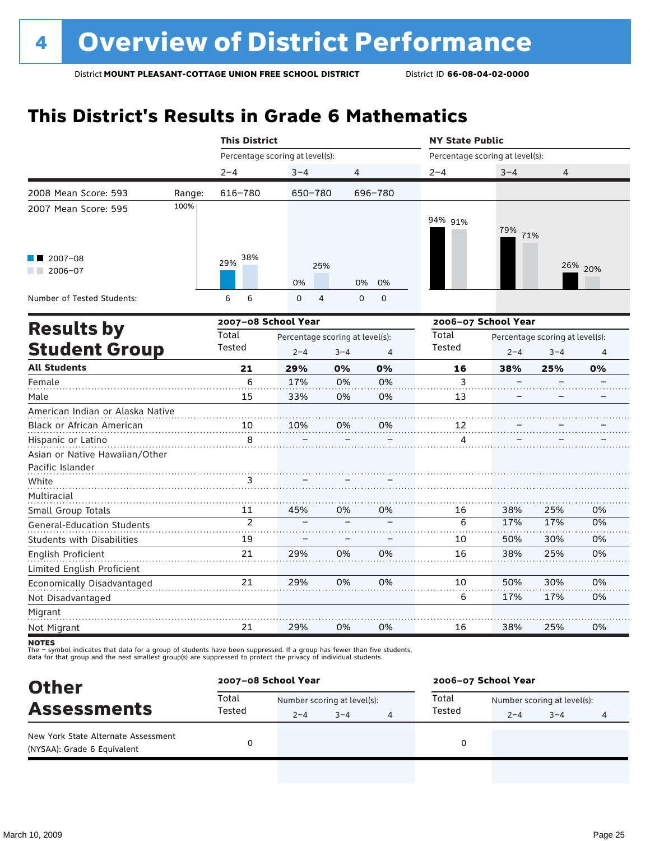# **This District's Results in Grade 6 Mathematics**

|                                                    |        | <b>This District</b> |                                                       |           |                | <b>NY State Public</b>          |                     |                                            |                |  |
|----------------------------------------------------|--------|----------------------|-------------------------------------------------------|-----------|----------------|---------------------------------|---------------------|--------------------------------------------|----------------|--|
|                                                    |        |                      | Percentage scoring at level(s):                       |           |                | Percentage scoring at level(s): |                     |                                            |                |  |
|                                                    |        | $2 - 4$              | $3 - 4$                                               | 4         |                | $2 - 4$                         | $3 - 4$             | 4                                          |                |  |
| 2008 Mean Score: 593                               | Range: | 616-780              | 650-780                                               |           | 696-780        |                                 |                     |                                            |                |  |
| 2007 Mean Score: 595                               | 100%   |                      |                                                       |           |                | 94% 91%                         | 79%<br>71%          |                                            |                |  |
| $2007 - 08$<br>$2006 - 07$                         |        | 38%<br>29%           | 0%                                                    | 25%<br>0% | 0%             |                                 |                     |                                            | 26% 20%        |  |
| Number of Tested Students:                         |        | 6<br>6               | $\Omega$                                              | 4<br>0    | 0              |                                 |                     |                                            |                |  |
|                                                    |        |                      | 2007-08 School Year                                   |           |                |                                 | 2006-07 School Year |                                            |                |  |
| <b>Results by</b><br><b>Student Group</b>          |        | Total<br>Tested      | Percentage scoring at level(s):<br>$2 - 4$<br>$3 - 4$ |           | $\overline{4}$ | Total<br>Tested                 | $2 - 4$             | Percentage scoring at level(s):<br>$3 - 4$ | $\overline{4}$ |  |
| <b>All Students</b>                                |        | 21                   | 29%                                                   | 0%        | 0%             | 16                              | 38%                 | 25%                                        | 0%             |  |
| Female                                             |        | 6                    | 17%                                                   | 0%        | 0%             | 3                               |                     |                                            |                |  |
| Male                                               |        | 15                   | 33%                                                   | 0%        | 0%             | 13                              |                     |                                            |                |  |
| American Indian or Alaska Native                   |        |                      |                                                       |           |                |                                 |                     |                                            |                |  |
| Black or African American                          |        | 10                   | 10%                                                   | 0%        | 0%             | 12                              |                     |                                            |                |  |
| Hispanic or Latino                                 |        | 8                    |                                                       |           |                | 4                               |                     |                                            |                |  |
| Asian or Native Hawaiian/Other<br>Pacific Islander |        |                      |                                                       |           |                |                                 |                     |                                            |                |  |
| White                                              |        | 3                    |                                                       |           |                |                                 |                     |                                            |                |  |
| Multiracial                                        |        |                      |                                                       |           |                |                                 |                     |                                            |                |  |
| Small Group Totals                                 |        | 11                   | 45%                                                   | 0%        | 0%             | 16                              | 38%                 | 25%                                        | 0%             |  |
| <b>General-Education Students</b>                  |        | $\overline{2}$       |                                                       |           |                | 6                               | 17%                 | 17%                                        | 0%             |  |
| <b>Students with Disabilities</b>                  |        | 19                   |                                                       |           |                | 10                              | 50%                 | 30%                                        | 0%             |  |
| <b>English Proficient</b>                          |        | 21                   | 29%                                                   | 0%        | 0%             | 16                              | 38%                 | 25%                                        | 0%             |  |
| Limited English Proficient                         |        |                      |                                                       |           |                |                                 |                     |                                            |                |  |
| Economically Disadvantaged                         |        | 21                   | 29%                                                   | 0%        | 0%             | 10                              | 50%                 | 30%                                        | 0%             |  |
| Not Disadvantaged                                  |        |                      |                                                       |           |                | 6                               | 17%                 | 17%                                        | 0%             |  |
| Migrant                                            |        |                      |                                                       |           |                |                                 |                     |                                            |                |  |
| Not Migrant                                        |        | 21                   | 29%                                                   | 0%        | 0%             | 16                              | 38%                 | 25%                                        | 0%             |  |

**NOTES** 

The – symbol indicates that data for a group of students have been suppressed. If a group has fewer than five students,<br>data for that group and the next smallest group(s) are suppressed to protect the privacy of individual

| <b>Other</b>                                                       | 2007-08 School Year |         |                             |  | 2006-07 School Year |                             |         |   |  |
|--------------------------------------------------------------------|---------------------|---------|-----------------------------|--|---------------------|-----------------------------|---------|---|--|
| <b>Assessments</b>                                                 | Total<br>Tested     |         | Number scoring at level(s): |  |                     | Number scoring at level(s): |         |   |  |
|                                                                    |                     | $2 - 4$ | $3 - 4$                     |  | Tested              | $2 - 4$                     | $3 - 4$ | 4 |  |
| New York State Alternate Assessment<br>(NYSAA): Grade 6 Equivalent |                     |         |                             |  | 0                   |                             |         |   |  |
|                                                                    |                     |         |                             |  |                     |                             |         |   |  |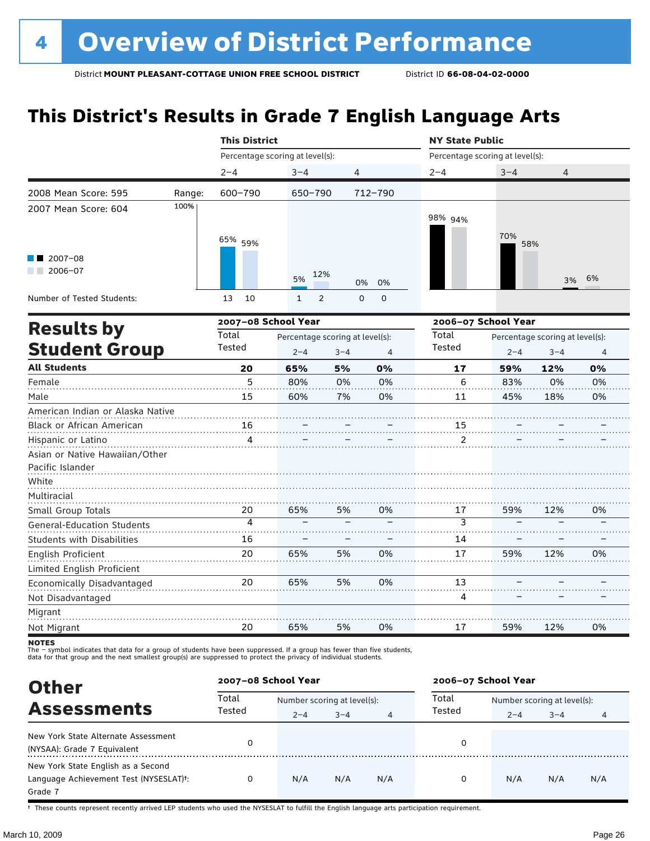# **This District's Results in Grade 7 English Language Arts**

|                                                             |        | <b>This District</b>            |                                            |                |                  | <b>NY State Public</b>          |         | $\overline{4}$<br>58%<br>6%<br>3%<br>Percentage scoring at level(s):<br>$2 - 4$<br>$3 - 4$<br>12%<br>0%<br>83% |    |
|-------------------------------------------------------------|--------|---------------------------------|--------------------------------------------|----------------|------------------|---------------------------------|---------|----------------------------------------------------------------------------------------------------------------|----|
|                                                             |        | Percentage scoring at level(s): |                                            |                |                  | Percentage scoring at level(s): |         |                                                                                                                |    |
|                                                             |        | $2 - 4$                         | $3 - 4$                                    | $\overline{4}$ |                  | $2 - 4$                         | $3 - 4$ |                                                                                                                |    |
| 2008 Mean Score: 595                                        | Range: | 600-790                         | 650-790                                    |                | 712-790          |                                 |         |                                                                                                                |    |
| 2007 Mean Score: 604                                        | 100%   | 65% 59%                         |                                            |                |                  | 98% 94%                         | 70%     |                                                                                                                |    |
| $2007 - 08$<br>$2006 - 07$                                  |        |                                 | 12%<br>5%                                  |                | 0%<br>0%         |                                 |         |                                                                                                                |    |
| Number of Tested Students:                                  |        | 13<br>10                        | $\overline{2}$<br>$\mathbf{1}$             |                | $\mathbf 0$<br>0 |                                 |         |                                                                                                                |    |
| <b>Results by</b>                                           |        | 2007-08 School Year             |                                            |                |                  | 2006-07 School Year             |         |                                                                                                                |    |
| <b>Student Group</b>                                        |        | Total<br>Tested                 | Percentage scoring at level(s):<br>$2 - 4$ | $3 - 4$        | $\overline{4}$   | Total<br><b>Tested</b>          |         |                                                                                                                | 4  |
| <b>All Students</b>                                         |        | 20                              | 65%                                        | 5%             | 0%               | 17                              | 59%     |                                                                                                                | 0% |
| Female                                                      |        | 5                               | 80%                                        | 0%             | 0%               | 6                               |         |                                                                                                                | 0% |
| Male                                                        |        | 15                              | 60%                                        | 7%             | 0%               | 11                              | 45%     | 18%                                                                                                            | 0% |
| American Indian or Alaska Native                            |        |                                 |                                            |                |                  |                                 |         |                                                                                                                |    |
| Black or African American                                   |        | 16                              |                                            |                |                  | 15                              |         |                                                                                                                |    |
| Hispanic or Latino                                          |        | 4                               |                                            |                |                  | 2                               |         |                                                                                                                |    |
| Asian or Native Hawaiian/Other<br>Pacific Islander<br>White |        |                                 |                                            |                |                  |                                 |         |                                                                                                                |    |
| Multiracial<br>Small Group Totals                           |        | 20                              | 65%                                        | 5%             | 0%               | 17                              | 59%     | 12%                                                                                                            | 0% |
| <b>General-Education Students</b>                           |        | $\overline{4}$                  |                                            |                |                  | $\overline{3}$                  |         |                                                                                                                |    |
| <b>Students with Disabilities</b>                           |        | 16                              |                                            |                |                  | 14                              |         |                                                                                                                |    |
| English Proficient                                          |        | 20                              | 65%                                        | 5%             | 0%               | 17                              | 59%     | 12%                                                                                                            | 0% |
| Limited English Proficient                                  |        |                                 |                                            |                |                  |                                 |         |                                                                                                                |    |
| Economically Disadvantaged                                  |        | 20                              | 65%                                        | 5%             | 0%               | 13                              |         |                                                                                                                |    |
| Not Disadvantaged                                           |        |                                 |                                            |                |                  | 4                               |         |                                                                                                                |    |
| Migrant                                                     |        |                                 |                                            |                |                  |                                 |         |                                                                                                                |    |
| Not Migrant                                                 |        | 20                              | 65%                                        | 5%             | 0%               | 17                              | 59%     | 12%                                                                                                            | 0% |

**NOTES** 

The – symbol indicates that data for a group of students have been suppressed. If a group has fewer than five students,<br>data for that group and the next smallest group(s) are suppressed to protect the privacy of individual

| <b>Other</b>                           |                 | 2007-08 School Year         |         |     | 2006-07 School Year |                             |         |     |  |
|----------------------------------------|-----------------|-----------------------------|---------|-----|---------------------|-----------------------------|---------|-----|--|
| <b>Assessments</b>                     | Total<br>Tested | Number scoring at level(s): |         |     | Total               | Number scoring at level(s): |         |     |  |
|                                        |                 | $2 - 4$                     | $3 - 4$ | 4   | Tested              | $2 - 4$                     | $3 - 4$ | 4   |  |
| New York State Alternate Assessment    | 0               |                             |         |     | 0                   |                             |         |     |  |
| (NYSAA): Grade 7 Equivalent            |                 |                             |         |     |                     |                             |         |     |  |
| New York State English as a Second     |                 |                             |         |     |                     |                             |         |     |  |
| Language Achievement Test (NYSESLAT)t: | 0               | N/A                         | N/A     | N/A | 0                   | N/A                         | N/A     | N/A |  |
| Grade 7                                |                 |                             |         |     |                     |                             |         |     |  |

† These counts represent recently arrived LEP students who used the NYSESLAT to fulfill the English language arts participation requirement.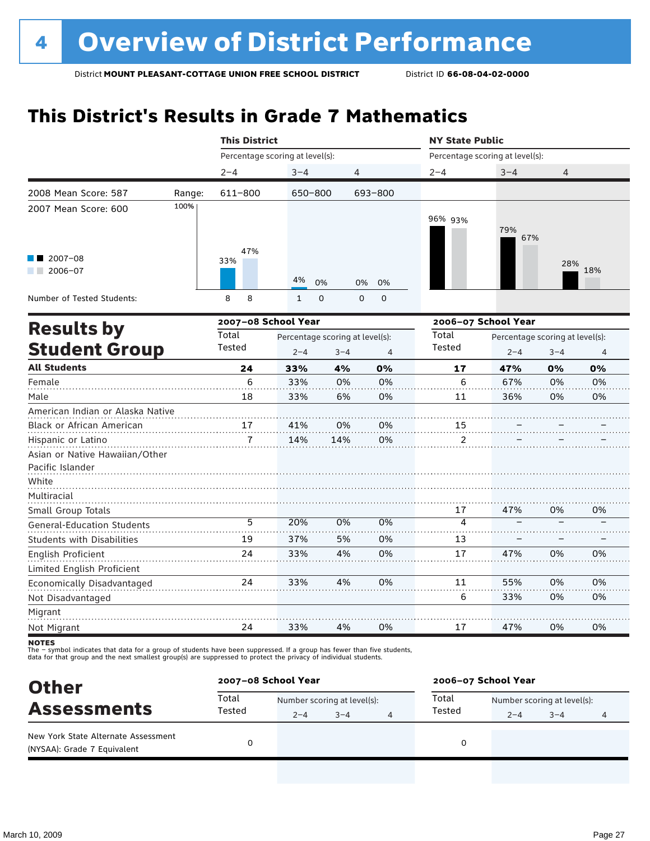# **This District's Results in Grade 7 Mathematics**

|                                                  |        | <b>This District</b>            |                                 |         |                  | <b>NY State Public</b>          |                                 |         |     |
|--------------------------------------------------|--------|---------------------------------|---------------------------------|---------|------------------|---------------------------------|---------------------------------|---------|-----|
|                                                  |        | Percentage scoring at level(s): |                                 |         |                  | Percentage scoring at level(s): |                                 |         |     |
|                                                  |        | $2 - 4$                         | $3 - 4$                         | 4       |                  | $2 - 4$                         | $3 - 4$                         | 4       |     |
| 2008 Mean Score: 587                             | Range: | 611-800                         | 650-800                         |         | 693-800          |                                 |                                 |         |     |
| 2007 Mean Score: 600                             | 100%   |                                 |                                 |         |                  | 96% 93%                         | 79%<br>67%                      |         |     |
| $2007 - 08$<br>$2006 - 07$                       |        | 47%<br>33%                      | 4%<br>0%                        |         | 0%<br>0%         |                                 |                                 | 28%     | 18% |
| Number of Tested Students:                       |        | 8<br>8                          | $\mathbf{1}$<br>$\mathbf 0$     |         | $\mathbf 0$<br>0 |                                 |                                 |         |     |
|                                                  |        | 2007-08 School Year             |                                 |         |                  |                                 | 2006-07 School Year             |         |     |
| <b>Results by</b>                                |        | Total                           | Percentage scoring at level(s): |         |                  | Total                           | Percentage scoring at level(s): |         |     |
| <b>Student Group</b>                             |        | Tested                          | $2 - 4$                         | $3 - 4$ | $\overline{4}$   | Tested                          | $2 - 4$                         | $3 - 4$ | 4   |
| <b>All Students</b>                              |        | 24                              | 33%                             | 4%      | 0%               | 17                              | 47%                             | 0%      | 0%  |
| Female                                           |        | 6                               | 33%                             | 0%      | 0%               | 6                               | 67%                             | 0%      | 0%  |
| Male                                             |        | 18                              | 33%                             | 6%      | 0%               | 11                              | 36%                             | 0%      | 0%  |
| American Indian or Alaska Native                 |        |                                 |                                 |         |                  |                                 |                                 |         |     |
| Black or African American                        |        | 17                              | 41%                             | 0%      | 0%               | 15                              |                                 |         |     |
| Hispanic or Latino                               |        |                                 | 14%                             | 14%     | 0%               | 2                               |                                 |         |     |
| Asian or Native Hawaiian/Other                   |        |                                 |                                 |         |                  |                                 |                                 |         |     |
| Pacific Islander                                 |        |                                 |                                 |         |                  |                                 |                                 |         |     |
| White                                            |        |                                 |                                 |         |                  |                                 |                                 |         |     |
| Multiracial                                      |        |                                 |                                 |         |                  |                                 |                                 |         |     |
| Small Group Totals                               |        |                                 |                                 |         |                  | 17                              | 47%                             | 0%      | 0%  |
| <b>General-Education Students</b>                |        | 5                               | 20%                             | 0%      | 0%               | 4                               |                                 |         |     |
| <b>Students with Disabilities</b>                |        | 19                              | 37%                             | 5%      | 0%               | 13                              |                                 |         |     |
| English Proficient<br>Limited English Proficient |        | 24                              | 33%                             | 4%      | 0%               | 17                              | 47%                             | 0%      | 0%  |
| Economically Disadvantaged                       |        | 24                              | 33%                             | 4%      | 0%               | 11                              | 55%                             | 0%      | 0%  |
| Not Disadvantaged                                |        |                                 |                                 |         |                  | 6                               | 33%                             | 0%      | 0%  |
| Migrant                                          |        |                                 |                                 |         |                  |                                 |                                 |         |     |
| Not Migrant                                      |        | 24                              | 33%                             | 4%      | 0%               | 17                              | 47%                             | 0%      | 0%  |

**NOTES** 

Not Migrant

The – symbol indicates that data for a group of students have been suppressed. If a group has fewer than five students,<br>data for that group and the next smallest group(s) are suppressed to protect the privacy of individual

| <b>Other</b>                                                       |                 | 2007-08 School Year         |         |  | 2006-07 School Year |                             |         |   |  |
|--------------------------------------------------------------------|-----------------|-----------------------------|---------|--|---------------------|-----------------------------|---------|---|--|
| <b>Assessments</b>                                                 | Total<br>Tested | Number scoring at level(s): |         |  | Total               | Number scoring at level(s): |         |   |  |
|                                                                    |                 | $2 - 4$                     | $3 - 4$ |  | Tested              | $2 - 4$                     | $3 - 4$ | 4 |  |
| New York State Alternate Assessment<br>(NYSAA): Grade 7 Equivalent |                 |                             |         |  | 0                   |                             |         |   |  |
|                                                                    |                 |                             |         |  |                     |                             |         |   |  |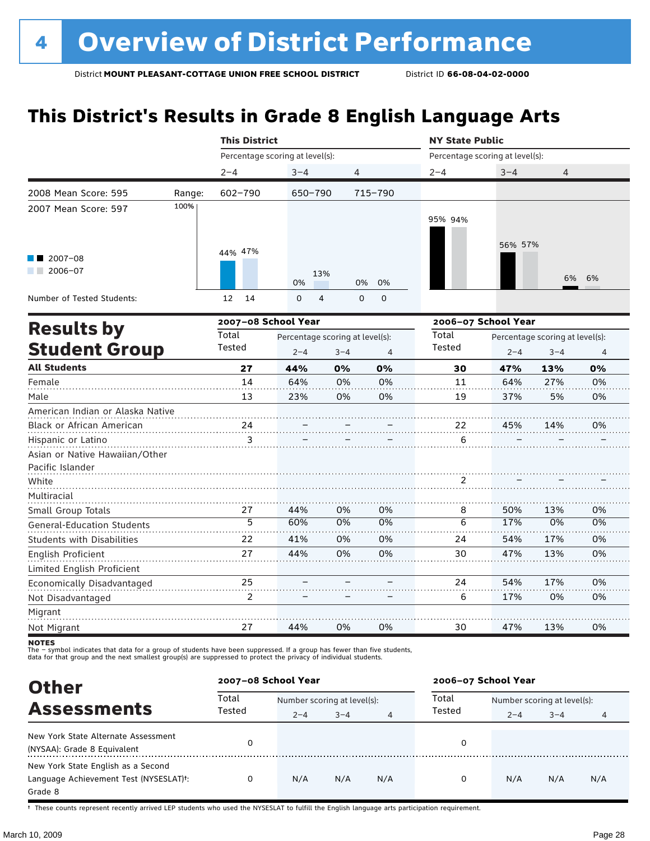# **This District's Results in Grade 8 English Language Arts**

|                                        |        | <b>This District</b>            |                                 |                  |          | <b>NY State Public</b>          |            |                                 |                |  |
|----------------------------------------|--------|---------------------------------|---------------------------------|------------------|----------|---------------------------------|------------|---------------------------------|----------------|--|
|                                        |        | Percentage scoring at level(s): |                                 |                  |          | Percentage scoring at level(s): |            |                                 |                |  |
|                                        |        | $2 - 4$                         | $3 - 4$                         | $\overline{4}$   |          | $2 - 4$                         | $3 - 4$    | $\overline{4}$                  |                |  |
| 2008 Mean Score: 595                   | Range: | 602-790                         | 650-790                         |                  | 715-790  |                                 |            |                                 |                |  |
| 2007 Mean Score: 597                   | 100%   |                                 |                                 |                  |          | 95% 94%                         | 56% 57%    |                                 |                |  |
| $2007 - 08$<br>2006-07<br>and the con- |        | 44% 47%                         | 0%                              | 13%<br>0%        | 0%       |                                 |            | 6%                              | 6%             |  |
| Number of Tested Students:             |        | 12<br>14                        | $\Omega$                        | 4<br>$\mathbf 0$ | 0        |                                 |            |                                 |                |  |
|                                        |        | 2007-08 School Year             |                                 |                  |          | 2006-07 School Year             |            |                                 |                |  |
| <b>Results by</b>                      |        | Total                           | Percentage scoring at level(s): |                  |          | Total                           |            | Percentage scoring at level(s): |                |  |
| <b>Student Group</b>                   |        | Tested                          | $2 - 4$                         | $3 - 4$          | 4        | Tested                          | $2 - 4$    | $3 - 4$                         | $\overline{4}$ |  |
| <b>All Students</b>                    |        | 27                              | 44%                             | 0%               | 0%       | 30                              | 47%        | 13%                             | 0%             |  |
| Female                                 |        | 14                              | 64%                             | 0%               | 0%       | 11                              | 64%        | 27%                             | 0%             |  |
| Male                                   |        | 13                              | 23%                             | 0%               | 0%       | 19                              | 37%        | 5%                              | 0%             |  |
| American Indian or Alaska Native       |        |                                 |                                 |                  |          |                                 |            |                                 |                |  |
| Black or African American              |        | 24                              |                                 |                  |          | 22                              | 45%        | 14%                             | 0%             |  |
| Hispanic or Latino                     |        | 3                               |                                 |                  |          | 6                               |            |                                 |                |  |
| Asian or Native Hawaiian/Other         |        |                                 |                                 |                  |          |                                 |            |                                 |                |  |
| Pacific Islander                       |        |                                 |                                 |                  |          |                                 |            |                                 |                |  |
| White                                  |        |                                 |                                 |                  |          | 2                               |            |                                 |                |  |
| Multiracial                            |        |                                 |                                 |                  |          |                                 |            |                                 |                |  |
| Small Group Totals                     |        | 27<br>$\overline{5}$            | 44%<br>60%                      | 0%<br>0%         | 0%<br>0% | 8<br>6                          | 50%<br>17% | 13%<br>0%                       | 0%<br>0%       |  |
| <b>General-Education Students</b>      |        |                                 |                                 |                  |          |                                 |            |                                 |                |  |
| <b>Students with Disabilities</b>      |        | 22                              | 41%                             | 0%               | 0%       | 24                              | 54%        | 17%                             | 0%             |  |
| English Proficient                     |        | 27                              | 44%                             | 0%               | 0%       | 30                              | 47%        | 13%                             | 0%             |  |
| Limited English Proficient             |        |                                 |                                 |                  |          |                                 |            |                                 |                |  |
| Economically Disadvantaged             |        | 25                              |                                 |                  |          | 24                              | 54%        | 17%                             | 0%             |  |
| Not Disadvantaged                      |        | 2                               |                                 |                  |          | 6                               | 17%        | 0%                              | 0%             |  |
| Migrant                                |        |                                 |                                 |                  |          |                                 |            |                                 |                |  |
| Not Migrant                            |        | 27                              | 44%                             | 0%               | 0%       | 30                              | 47%        | 13%                             | 0%             |  |

**NOTES** 

The – symbol indicates that data for a group of students have been suppressed. If a group has fewer than five students,<br>data for that group and the next smallest group(s) are suppressed to protect the privacy of individual

| <b>Other</b>                           | 2007-08 School Year |         |                             |     | 2006-07 School Year |                             |         |     |  |
|----------------------------------------|---------------------|---------|-----------------------------|-----|---------------------|-----------------------------|---------|-----|--|
| <b>Assessments</b>                     | Total<br>Tested     |         | Number scoring at level(s): |     |                     | Number scoring at level(s): |         |     |  |
|                                        |                     | $2 - 4$ | $3 - 4$                     | 4   | Tested              | $2 - 4$                     | $3 - 4$ | 4   |  |
| New York State Alternate Assessment    | 0                   |         |                             |     | 0                   |                             |         |     |  |
| (NYSAA): Grade 8 Equivalent            |                     |         |                             |     |                     |                             |         |     |  |
| New York State English as a Second     |                     |         |                             |     |                     |                             |         |     |  |
| Language Achievement Test (NYSESLAT)t: | 0                   | N/A     | N/A                         | N/A | 0                   | N/A                         | N/A     | N/A |  |
| Grade 8                                |                     |         |                             |     |                     |                             |         |     |  |

† These counts represent recently arrived LEP students who used the NYSESLAT to fulfill the English language arts participation requirement.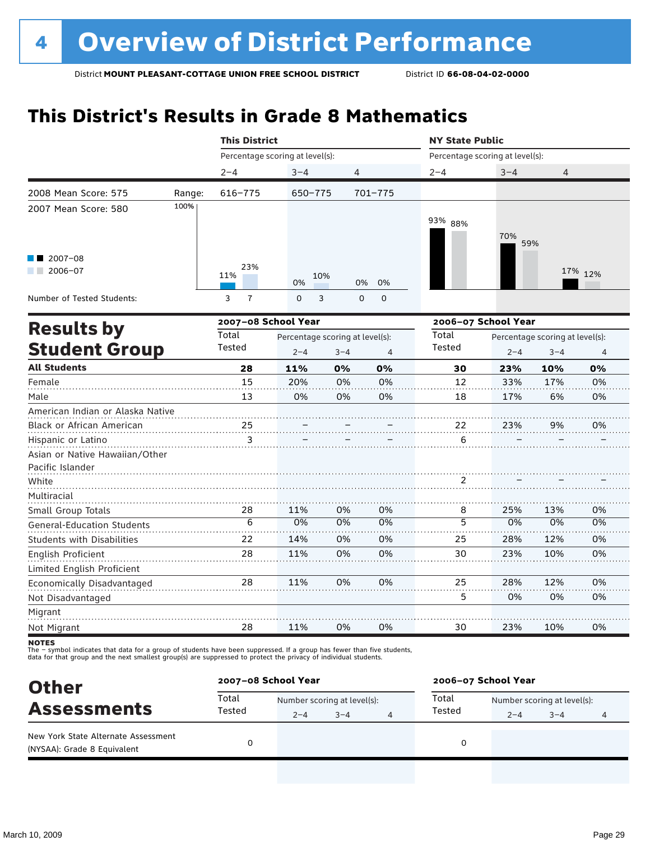# **This District's Results in Grade 8 Mathematics**

|                     |                     |                            |                                                              | <b>NY State Public</b>                                                    |             |         |                                                                                                        |  |
|---------------------|---------------------|----------------------------|--------------------------------------------------------------|---------------------------------------------------------------------------|-------------|---------|--------------------------------------------------------------------------------------------------------|--|
|                     |                     |                            |                                                              |                                                                           |             |         |                                                                                                        |  |
| $2 - 4$             | $3 - 4$             | 4                          |                                                              | $2 - 4$                                                                   | $3 - 4$     | 4       |                                                                                                        |  |
| 616-775<br>Range:   |                     |                            |                                                              |                                                                           |             |         |                                                                                                        |  |
|                     |                     |                            |                                                              | 93% 88%                                                                   | 70%         |         |                                                                                                        |  |
| 23%<br>11%          | 0%                  |                            | 0%                                                           |                                                                           |             |         | 17% 12%                                                                                                |  |
| $\overline{1}$<br>3 | $\mathsf{O}$        |                            | 0                                                            |                                                                           |             |         |                                                                                                        |  |
|                     | 2007-08 School Year |                            |                                                              |                                                                           |             |         |                                                                                                        |  |
| Total               |                     |                            |                                                              | Total                                                                     |             |         |                                                                                                        |  |
|                     | $2 - 4$             | $3 - 4$                    | $\overline{4}$                                               |                                                                           | $2 - 4$     | $3 - 4$ | $\overline{4}$                                                                                         |  |
| 28                  | 11%                 | 0%                         | 0%                                                           | 30                                                                        | 23%         | 10%     | 0%                                                                                                     |  |
| 15                  | 20%                 | 0%                         | 0%                                                           | 12                                                                        | 33%         | 17%     | 0%                                                                                                     |  |
| 13                  | 0%                  | 0%                         | 0%                                                           | 18                                                                        | 17%         | 6%      | 0%                                                                                                     |  |
|                     |                     |                            |                                                              |                                                                           |             |         |                                                                                                        |  |
| 25                  |                     |                            |                                                              | 22                                                                        | 23%         | 9%      | 0%                                                                                                     |  |
| 3                   |                     |                            |                                                              | 6                                                                         |             |         |                                                                                                        |  |
|                     |                     |                            |                                                              |                                                                           |             |         |                                                                                                        |  |
|                     |                     |                            |                                                              |                                                                           |             |         |                                                                                                        |  |
|                     |                     |                            |                                                              | 2                                                                         |             |         |                                                                                                        |  |
|                     |                     |                            |                                                              |                                                                           |             |         |                                                                                                        |  |
| 28                  | 11%                 | 0%                         | 0%                                                           | 8                                                                         | 25%         | 13%     | 0%                                                                                                     |  |
|                     |                     |                            |                                                              |                                                                           |             |         | 0%                                                                                                     |  |
| 22                  | 14%                 | 0%                         | 0%                                                           | 25                                                                        | 28%         | 12%     | 0%                                                                                                     |  |
| 28                  | 11%                 | 0%                         | 0%                                                           | 30                                                                        | 23%         | 10%     | 0%                                                                                                     |  |
|                     |                     |                            |                                                              |                                                                           |             |         |                                                                                                        |  |
| 28                  | 11%                 | 0%                         | 0%                                                           | 25                                                                        | 28%         | 12%     | 0%                                                                                                     |  |
|                     |                     |                            |                                                              | 5                                                                         | 0%          | 0%      | 0%                                                                                                     |  |
|                     |                     |                            |                                                              |                                                                           |             |         |                                                                                                        |  |
| 28                  | 11%                 | 0%                         | 0%                                                           | 30                                                                        | 23%         | 10%     | 0%                                                                                                     |  |
|                     | Tested<br>6         | <b>This District</b><br>0% | Percentage scoring at level(s):<br>650-775<br>10%<br>3<br>0% | $701 - 775$<br>0%<br>$\mathbf 0$<br>Percentage scoring at level(s):<br>0% | Tested<br>5 | 0%      | Percentage scoring at level(s):<br>59%<br>2006-07 School Year<br>Percentage scoring at level(s):<br>0% |  |

**NOTES** 

The – symbol indicates that data for a group of students have been suppressed. If a group has fewer than five students,<br>data for that group and the next smallest group(s) are suppressed to protect the privacy of individual

| <b>Other</b><br><b>Assessments</b><br>New York State Alternate Assessment<br>(NYSAA): Grade 8 Equivalent |                 | 2007-08 School Year         |         |  | 2006-07 School Year |                             |         |   |  |
|----------------------------------------------------------------------------------------------------------|-----------------|-----------------------------|---------|--|---------------------|-----------------------------|---------|---|--|
|                                                                                                          | Total<br>Tested | Number scoring at level(s): |         |  | Total               | Number scoring at level(s): |         |   |  |
|                                                                                                          |                 | $2 - 4$                     | $3 - 4$ |  | Tested              | $2 - 4$                     | $3 - 4$ | 4 |  |
|                                                                                                          |                 |                             |         |  | 0                   |                             |         |   |  |
|                                                                                                          |                 |                             |         |  |                     |                             |         |   |  |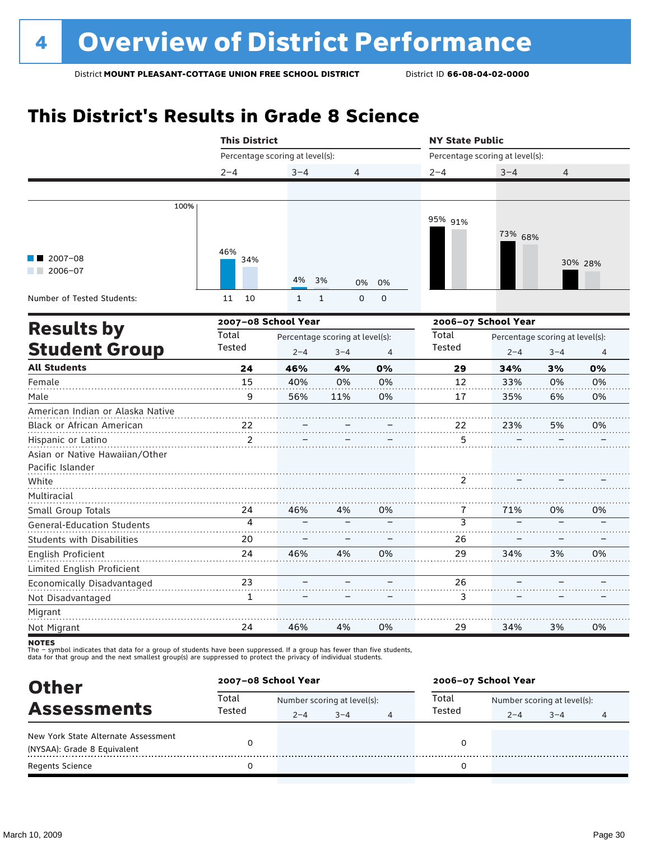# **This District's Results in Grade 8 Science**

|                                   | <b>This District</b> |                                 | <b>NY State Public</b>      |                     |                         |                                 |         |         |
|-----------------------------------|----------------------|---------------------------------|-----------------------------|---------------------|-------------------------|---------------------------------|---------|---------|
|                                   |                      | Percentage scoring at level(s): |                             |                     |                         | Percentage scoring at level(s): |         |         |
|                                   | $2 - 4$              | $3 - 4$                         | 4                           |                     | $2 - 4$                 | $3 - 4$                         | 4       |         |
|                                   |                      |                                 |                             |                     |                         |                                 |         |         |
| 100%                              |                      |                                 |                             |                     |                         |                                 |         |         |
|                                   |                      |                                 |                             |                     | 95% 91%                 |                                 |         |         |
|                                   |                      |                                 |                             |                     |                         | 73% 68%                         |         |         |
| $2007 - 08$                       | 46%<br>34%           |                                 |                             |                     |                         |                                 |         | 30% 28% |
| 2006-07                           |                      | 4%                              |                             |                     |                         |                                 |         |         |
|                                   |                      |                                 | 3%<br>0%                    | 0%                  |                         |                                 |         |         |
| Number of Tested Students:        | 11<br>10             | $\mathbf{1}$                    | $\mathbf{1}$<br>$\mathbf 0$ | $\mathsf{O}\xspace$ |                         |                                 |         |         |
|                                   | 2007-08 School Year  |                                 |                             |                     |                         | 2006-07 School Year             |         |         |
| <b>Results by</b>                 | Total                | Percentage scoring at level(s): |                             |                     | Total                   | Percentage scoring at level(s): |         |         |
| <b>Student Group</b>              | Tested               | $2 - 4$                         | $3 - 4$                     | $\overline{4}$      | Tested                  | $2 - 4$                         | $3 - 4$ | 4       |
| <b>All Students</b>               | 24                   | 46%                             | 4%                          | 0%                  | 29                      | 34%                             | 3%      | 0%      |
| Female                            | 15                   | 40%                             | 0%                          | 0%                  | 12                      | 33%                             | 0%      | 0%      |
| Male                              | 9                    | 56%                             | 11%                         | 0%                  | 17                      | 35%                             | 6%      | 0%      |
| American Indian or Alaska Native  |                      |                                 |                             |                     |                         |                                 |         |         |
| Black or African American         | 22                   |                                 |                             |                     | 22                      | 23%                             | 5%      | 0%      |
| Hispanic or Latino                | $\overline{2}$       |                                 |                             |                     | 5                       |                                 |         |         |
| Asian or Native Hawaiian/Other    |                      |                                 |                             |                     |                         |                                 |         |         |
| Pacific Islander                  |                      |                                 |                             |                     |                         |                                 |         |         |
| White                             |                      |                                 |                             |                     | 2                       |                                 |         |         |
| Multiracial                       |                      |                                 |                             |                     |                         |                                 |         |         |
| Small Group Totals                | 24                   | 46%                             | 4%                          | 0%                  | 7                       | 71%                             | 0%      | 0%      |
| General-Education Students        | 4                    |                                 |                             |                     | $\overline{\mathbf{3}}$ |                                 |         |         |
| <b>Students with Disabilities</b> | 20                   |                                 |                             |                     | 26                      |                                 |         |         |
| <b>English Proficient</b>         | 24                   | 46%                             | 4%                          | 0%                  | 29                      | 34%                             | 3%      | 0%      |
| Limited English Proficient        |                      |                                 |                             |                     |                         |                                 |         |         |
| Economically Disadvantaged        | 23                   |                                 |                             |                     | 26                      |                                 |         |         |
| Not Disadvantaged                 | $\mathbf{1}$         |                                 |                             |                     | 3                       |                                 |         |         |
| Migrant                           |                      |                                 |                             |                     |                         |                                 |         |         |
| Not Migrant                       | 24                   | 46%                             | 4%                          | 0%                  | 29                      | 34%                             | 3%      | 0%      |

**NOTES** 

The – symbol indicates that data for a group of students have been suppressed. If a group has fewer than five students,<br>data for that group and the next smallest group(s) are suppressed to protect the privacy of individual

| <b>Other</b><br><b>Assessments</b>  |                 | 2007-08 School Year |                             |   | 2006-07 School Year |                             |         |   |
|-------------------------------------|-----------------|---------------------|-----------------------------|---|---------------------|-----------------------------|---------|---|
|                                     | Total<br>Tested |                     | Number scoring at level(s): |   |                     | Number scoring at level(s): |         |   |
|                                     |                 | $2 - 4$             | $3 - 4$                     | 4 | Tested              | $2 - 4$                     | $3 - 4$ | 4 |
| New York State Alternate Assessment |                 |                     |                             |   | 0                   |                             |         |   |
| (NYSAA): Grade 8 Equivalent         |                 |                     |                             |   |                     |                             |         |   |
| <b>Regents Science</b>              |                 |                     |                             |   | 0                   |                             |         |   |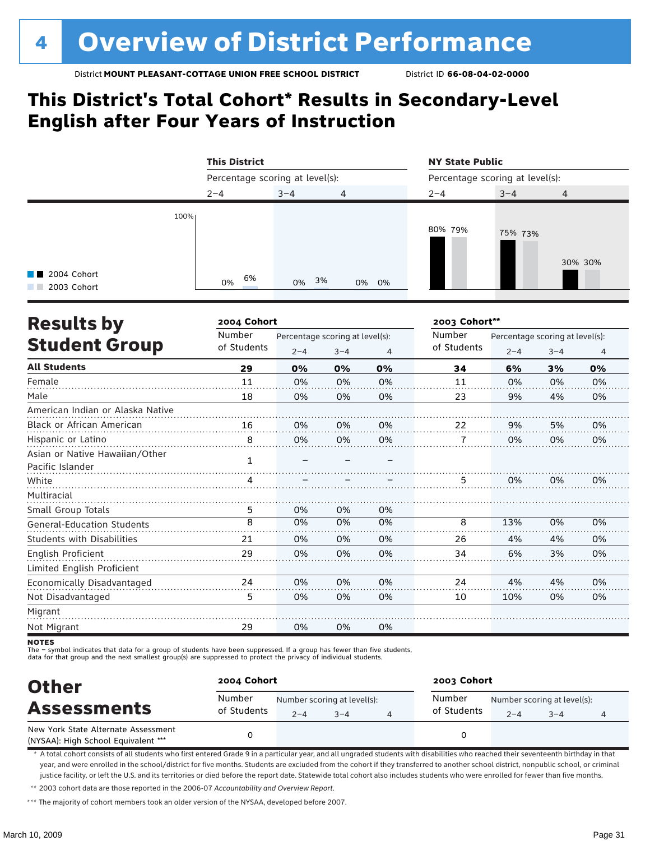### **This District's Total Cohort\* Results in Secondary-Level English after Four Years of Instruction**

|                                             | <b>This District</b>            |          |       | <b>NY State Public</b>          |         |                |  |  |
|---------------------------------------------|---------------------------------|----------|-------|---------------------------------|---------|----------------|--|--|
|                                             | Percentage scoring at level(s): |          |       | Percentage scoring at level(s): |         |                |  |  |
|                                             | $2 - 4$                         | $3 - 4$  | 4     | $2 - 4$                         | $3 - 4$ | $\overline{4}$ |  |  |
| 100%<br><b>T</b> 2004 Cohort<br>2003 Cohort | 6%<br>0%                        | 3%<br>0% | 0% 0% | 80% 79%                         | 75% 73% | 30% 30%        |  |  |

| <b>Results by</b>                 | 2004 Cohort |                                 |         | 2003 Cohort** |             |                                 |         |    |
|-----------------------------------|-------------|---------------------------------|---------|---------------|-------------|---------------------------------|---------|----|
|                                   | Number      | Percentage scoring at level(s): |         |               | Number      | Percentage scoring at level(s): |         |    |
| <b>Student Group</b>              | of Students | $2 - 4$                         | $3 - 4$ | 4             | of Students | $2 - 4$                         | $3 - 4$ | 4  |
| <b>All Students</b>               | 29          | 0%                              | 0%      | 0%            | 34          | 6%                              | 3%      | 0% |
| Female                            | 11          | 0%                              | 0%      | 0%            | 11          | 0%                              | 0%      | 0% |
| Male                              | 18          | 0%                              | 0%      | 0%            | 23          | 9%                              | 4%      | 0% |
| American Indian or Alaska Native  |             |                                 |         |               |             |                                 |         |    |
| <b>Black or African American</b>  | 16          | 0%                              | 0%      | 0%            | 22          | 9%                              | 5%      | 0% |
| Hispanic or Latino                | 8           | 0%                              | 0%      | 0%            | 7           | 0%                              | 0%      | 0% |
| Asian or Native Hawaiian/Other    |             |                                 |         |               |             |                                 |         |    |
| Pacific Islander                  | 1           |                                 |         |               |             |                                 |         |    |
| White                             |             |                                 |         |               | 5           | 0%                              | 0%      | 0% |
| Multiracial                       |             |                                 |         |               |             |                                 |         |    |
| Small Group Totals                | 5           | 0%                              | 0%      | 0%            |             |                                 |         |    |
| <b>General-Education Students</b> | 8           | 0%                              | 0%      | 0%            | 8           | 13%                             | 0%      | 0% |
| <b>Students with Disabilities</b> | 21          | 0%                              | 0%      | 0%            | 26          | 4%                              | 4%      | 0% |
| <b>English Proficient</b>         | 29          | 0%                              | 0%      | 0%            | 34          | 6%                              | 3%      | 0% |
| Limited English Proficient        |             |                                 |         |               |             |                                 |         |    |
| Economically Disadvantaged        | 24          | 0%                              | 0%      | 0%            | 24          | 4%                              | 4%      | 0% |
| Not Disadvantaged                 | 5           | 0%                              | 0%      | 0%            | 10          | 10%                             | 0%      | 0% |
| Migrant                           |             |                                 |         |               |             |                                 |         |    |
| Not Migrant                       | 29          | 0%                              | 0%      | 0%            |             |                                 |         |    |

**NOTES** 

The – symbol indicates that data for a group of students have been suppressed. If a group has fewer than five students,

data for that group and the next smallest group(s) are suppressed to protect the privacy of individual students.

| <b>Other</b><br><b>Assessments</b>                                         | 2004 Cohort           |         |                                        | 2003 Cohort           |         |                                        |  |  |
|----------------------------------------------------------------------------|-----------------------|---------|----------------------------------------|-----------------------|---------|----------------------------------------|--|--|
|                                                                            | Number<br>of Students | $2 - 4$ | Number scoring at level(s):<br>$3 - 4$ | Number<br>of Students | $2 - 4$ | Number scoring at level(s):<br>$3 - 4$ |  |  |
| New York State Alternate Assessment<br>(NYSAA): High School Equivalent *** |                       |         |                                        |                       |         |                                        |  |  |

\* A total cohort consists of all students who first entered Grade 9 in a particular year, and all ungraded students with disabilities who reached their seventeenth birthday in that year, and were enrolled in the school/district for five months. Students are excluded from the cohort if they transferred to another school district, nonpublic school, or criminal justice facility, or left the U.S. and its territories or died before the report date. Statewide total cohort also includes students who were enrolled for fewer than five months.

\*\* 2003 cohort data are those reported in the 2006-07 *Accountability and Overview Report*.

\*\*\* The majority of cohort members took an older version of the NYSAA, developed before 2007.